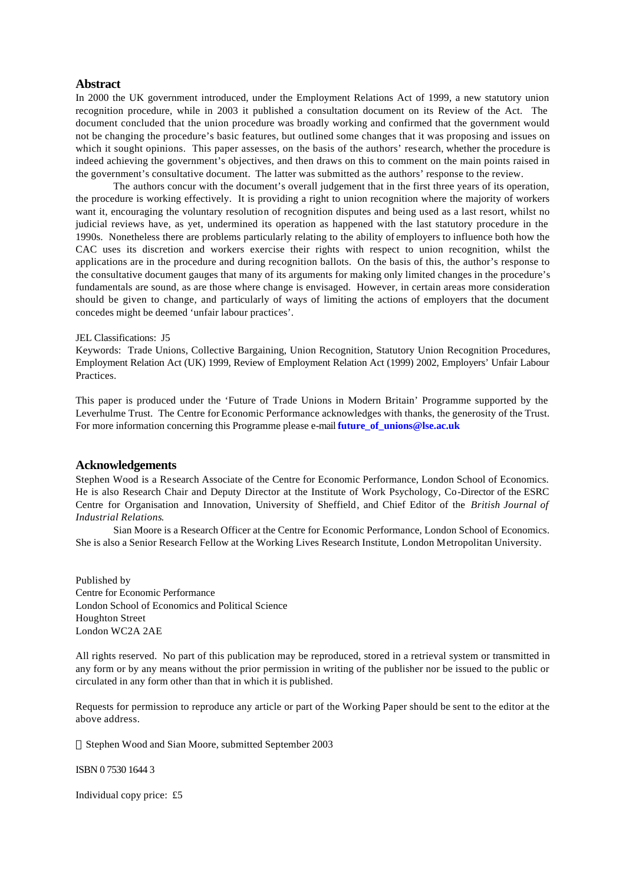#### **Abstract**

In 2000 the UK government introduced, under the Employment Relations Act of 1999, a new statutory union recognition procedure, while in 2003 it published a consultation document on its Review of the Act. The document concluded that the union procedure was broadly working and confirmed that the government would not be changing the procedure's basic features, but outlined some changes that it was proposing and issues on which it sought opinions. This paper assesses, on the basis of the authors' research, whether the procedure is indeed achieving the government's objectives, and then draws on this to comment on the main points raised in the government's consultative document. The latter was submitted as the authors' response to the review.

The authors concur with the document's overall judgement that in the first three years of its operation, the procedure is working effectively. It is providing a right to union recognition where the majority of workers want it, encouraging the voluntary resolution of recognition disputes and being used as a last resort, whilst no judicial reviews have, as yet, undermined its operation as happened with the last statutory procedure in the 1990s. Nonetheless there are problems particularly relating to the ability of employers to influence both how the CAC uses its discretion and workers exercise their rights with respect to union recognition, whilst the applications are in the procedure and during recognition ballots. On the basis of this, the author's response to the consultative document gauges that many of its arguments for making only limited changes in the procedure's fundamentals are sound, as are those where change is envisaged. However, in certain areas more consideration should be given to change, and particularly of ways of limiting the actions of employers that the document concedes might be deemed 'unfair labour practices'.

#### JEL Classifications: J5

Keywords: Trade Unions, Collective Bargaining, Union Recognition, Statutory Union Recognition Procedures, Employment Relation Act (UK) 1999, Review of Employment Relation Act (1999) 2002, Employers' Unfair Labour Practices.

This paper is produced under the 'Future of Trade Unions in Modern Britain' Programme supported by the Leverhulme Trust. The Centre for Economic Performance acknowledges with thanks, the generosity of the Trust. For more information concerning this Programme please e-mail **future\_of\_unions@lse.ac.uk**

#### **Acknowledgements**

Stephen Wood is a Research Associate of the Centre for Economic Performance, London School of Economics. He is also Research Chair and Deputy Director at the Institute of Work Psychology, Co-Director of the ESRC Centre for Organisation and Innovation, University of Sheffield, and Chief Editor of the *British Journal of Industrial Relations*.

Sian Moore is a Research Officer at the Centre for Economic Performance, London School of Economics. She is also a Senior Research Fellow at the Working Lives Research Institute, London Metropolitan University.

Published by Centre for Economic Performance London School of Economics and Political Science Houghton Street London WC2A 2AE

All rights reserved. No part of this publication may be reproduced, stored in a retrieval system or transmitted in any form or by any means without the prior permission in writing of the publisher nor be issued to the public or circulated in any form other than that in which it is published.

Requests for permission to reproduce any article or part of the Working Paper should be sent to the editor at the above address.

Stephen Wood and Sian Moore, submitted September 2003

ISBN 0 7530 1644 3

Individual copy price: £5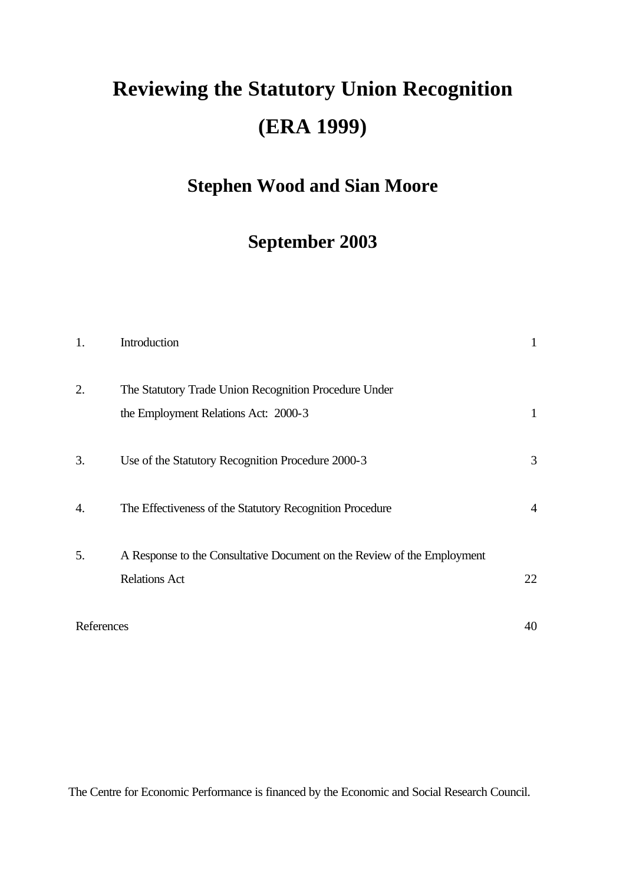# **Reviewing the Statutory Union Recognition (ERA 1999)**

# **Stephen Wood and Sian Moore**

# **September 2003**

| 1.         | Introduction                                                            | 1              |
|------------|-------------------------------------------------------------------------|----------------|
| 2.         | The Statutory Trade Union Recognition Procedure Under                   |                |
|            | the Employment Relations Act: 2000-3                                    | $\mathbf{1}$   |
| 3.         | Use of the Statutory Recognition Procedure 2000-3                       | 3              |
| 4.         | The Effectiveness of the Statutory Recognition Procedure                | $\overline{4}$ |
| 5.         | A Response to the Consultative Document on the Review of the Employment |                |
|            | <b>Relations Act</b>                                                    | 22             |
| References |                                                                         | 40             |

The Centre for Economic Performance is financed by the Economic and Social Research Council.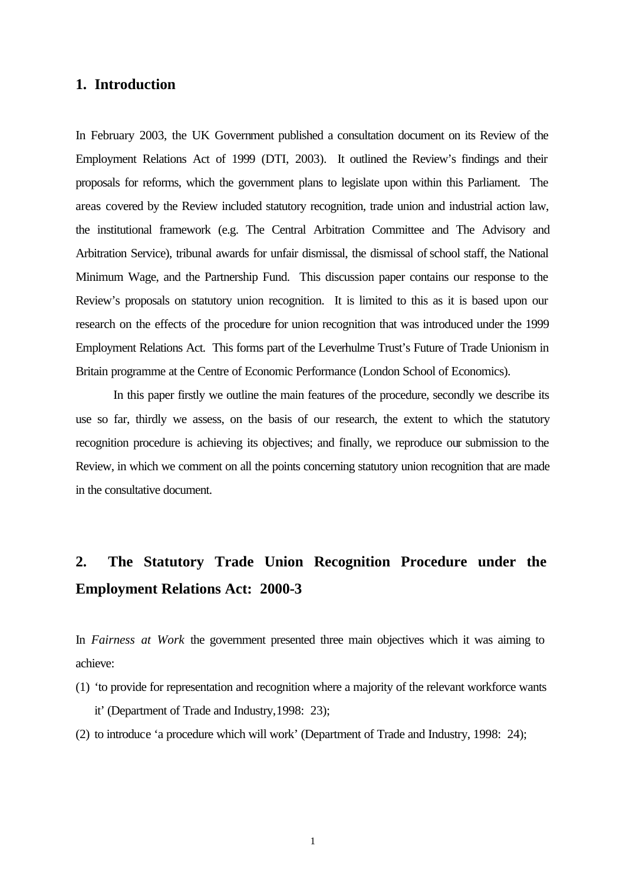#### **1. Introduction**

In February 2003, the UK Government published a consultation document on its Review of the Employment Relations Act of 1999 (DTI, 2003). It outlined the Review's findings and their proposals for reforms, which the government plans to legislate upon within this Parliament. The areas covered by the Review included statutory recognition, trade union and industrial action law, the institutional framework (e.g. The Central Arbitration Committee and The Advisory and Arbitration Service), tribunal awards for unfair dismissal, the dismissal of school staff, the National Minimum Wage, and the Partnership Fund. This discussion paper contains our response to the Review's proposals on statutory union recognition. It is limited to this as it is based upon our research on the effects of the procedure for union recognition that was introduced under the 1999 Employment Relations Act. This forms part of the Leverhulme Trust's Future of Trade Unionism in Britain programme at the Centre of Economic Performance (London School of Economics).

In this paper firstly we outline the main features of the procedure, secondly we describe its use so far, thirdly we assess, on the basis of our research, the extent to which the statutory recognition procedure is achieving its objectives; and finally, we reproduce our submission to the Review, in which we comment on all the points concerning statutory union recognition that are made in the consultative document.

# **2. The Statutory Trade Union Recognition Procedure under the Employment Relations Act: 2000-3**

In *Fairness at Work* the government presented three main objectives which it was aiming to achieve:

- (1) 'to provide for representation and recognition where a majority of the relevant workforce wants it' (Department of Trade and Industry,1998: 23);
- (2) to introduce 'a procedure which will work' (Department of Trade and Industry, 1998: 24);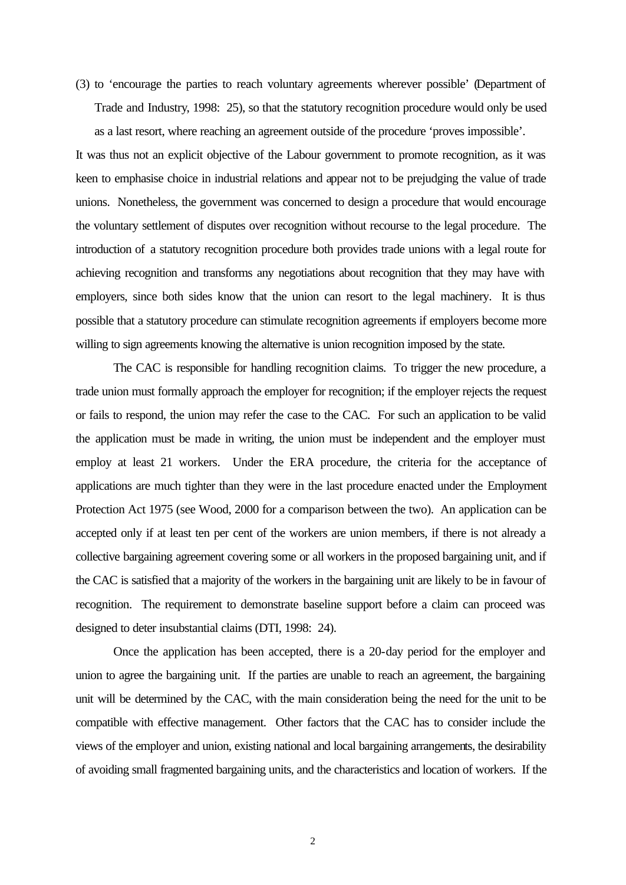(3) to 'encourage the parties to reach voluntary agreements wherever possible' (Department of Trade and Industry, 1998: 25), so that the statutory recognition procedure would only be used as a last resort, where reaching an agreement outside of the procedure 'proves impossible'.

It was thus not an explicit objective of the Labour government to promote recognition, as it was keen to emphasise choice in industrial relations and appear not to be prejudging the value of trade unions. Nonetheless, the government was concerned to design a procedure that would encourage the voluntary settlement of disputes over recognition without recourse to the legal procedure. The introduction of a statutory recognition procedure both provides trade unions with a legal route for achieving recognition and transforms any negotiations about recognition that they may have with employers, since both sides know that the union can resort to the legal machinery. It is thus possible that a statutory procedure can stimulate recognition agreements if employers become more willing to sign agreements knowing the alternative is union recognition imposed by the state.

The CAC is responsible for handling recognition claims. To trigger the new procedure, a trade union must formally approach the employer for recognition; if the employer rejects the request or fails to respond, the union may refer the case to the CAC. For such an application to be valid the application must be made in writing, the union must be independent and the employer must employ at least 21 workers. Under the ERA procedure, the criteria for the acceptance of applications are much tighter than they were in the last procedure enacted under the Employment Protection Act 1975 (see Wood, 2000 for a comparison between the two). An application can be accepted only if at least ten per cent of the workers are union members, if there is not already a collective bargaining agreement covering some or all workers in the proposed bargaining unit, and if the CAC is satisfied that a majority of the workers in the bargaining unit are likely to be in favour of recognition. The requirement to demonstrate baseline support before a claim can proceed was designed to deter insubstantial claims (DTI, 1998: 24).

Once the application has been accepted, there is a 20-day period for the employer and union to agree the bargaining unit. If the parties are unable to reach an agreement, the bargaining unit will be determined by the CAC, with the main consideration being the need for the unit to be compatible with effective management. Other factors that the CAC has to consider include the views of the employer and union, existing national and local bargaining arrangements, the desirability of avoiding small fragmented bargaining units, and the characteristics and location of workers. If the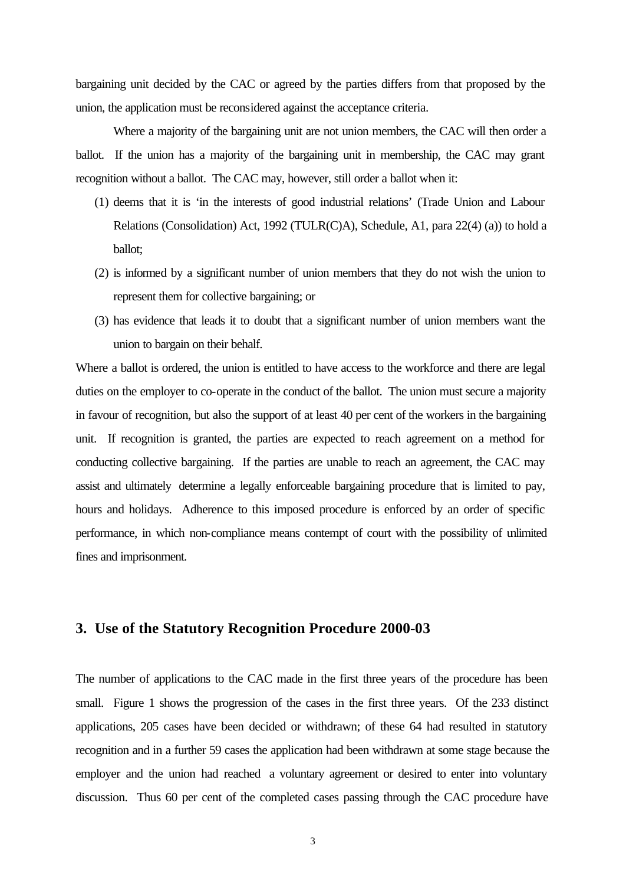bargaining unit decided by the CAC or agreed by the parties differs from that proposed by the union, the application must be reconsidered against the acceptance criteria.

Where a majority of the bargaining unit are not union members, the CAC will then order a ballot. If the union has a majority of the bargaining unit in membership, the CAC may grant recognition without a ballot. The CAC may, however, still order a ballot when it:

- (1) deems that it is 'in the interests of good industrial relations' (Trade Union and Labour Relations (Consolidation) Act, 1992 (TULR(C)A), Schedule, A1, para 22(4) (a)) to hold a ballot;
- (2) is informed by a significant number of union members that they do not wish the union to represent them for collective bargaining; or
- (3) has evidence that leads it to doubt that a significant number of union members want the union to bargain on their behalf.

Where a ballot is ordered, the union is entitled to have access to the workforce and there are legal duties on the employer to co-operate in the conduct of the ballot. The union must secure a majority in favour of recognition, but also the support of at least 40 per cent of the workers in the bargaining unit. If recognition is granted, the parties are expected to reach agreement on a method for conducting collective bargaining. If the parties are unable to reach an agreement, the CAC may assist and ultimately determine a legally enforceable bargaining procedure that is limited to pay, hours and holidays. Adherence to this imposed procedure is enforced by an order of specific performance, in which non-compliance means contempt of court with the possibility of unlimited fines and imprisonment.

#### **3. Use of the Statutory Recognition Procedure 2000-03**

The number of applications to the CAC made in the first three years of the procedure has been small. Figure 1 shows the progression of the cases in the first three years. Of the 233 distinct applications, 205 cases have been decided or withdrawn; of these 64 had resulted in statutory recognition and in a further 59 cases the application had been withdrawn at some stage because the employer and the union had reached a voluntary agreement or desired to enter into voluntary discussion. Thus 60 per cent of the completed cases passing through the CAC procedure have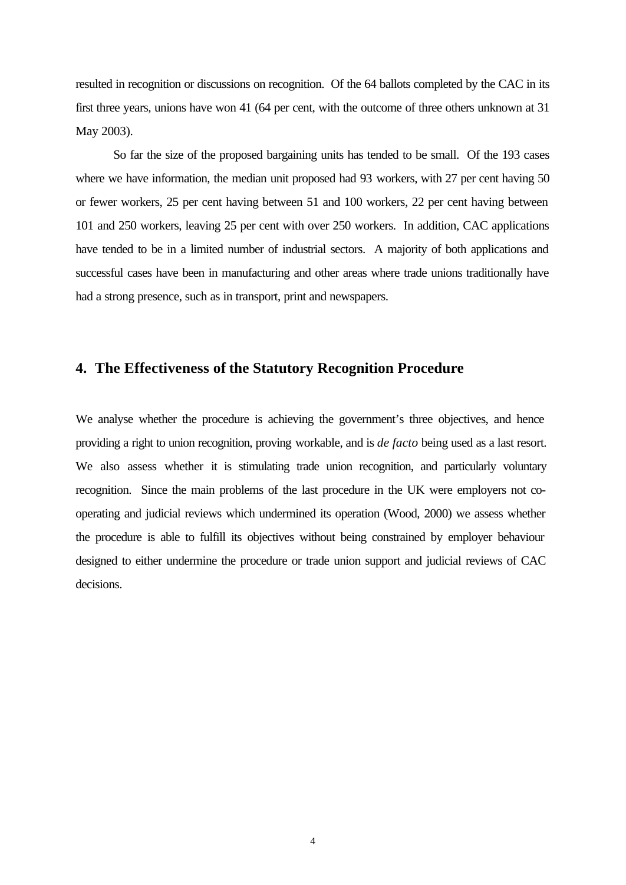resulted in recognition or discussions on recognition. Of the 64 ballots completed by the CAC in its first three years, unions have won 41 (64 per cent, with the outcome of three others unknown at 31 May 2003).

So far the size of the proposed bargaining units has tended to be small. Of the 193 cases where we have information, the median unit proposed had 93 workers, with 27 per cent having 50 or fewer workers, 25 per cent having between 51 and 100 workers, 22 per cent having between 101 and 250 workers, leaving 25 per cent with over 250 workers. In addition, CAC applications have tended to be in a limited number of industrial sectors. A majority of both applications and successful cases have been in manufacturing and other areas where trade unions traditionally have had a strong presence, such as in transport, print and newspapers.

#### **4. The Effectiveness of the Statutory Recognition Procedure**

We analyse whether the procedure is achieving the government's three objectives, and hence providing a right to union recognition, proving workable, and is *de facto* being used as a last resort. We also assess whether it is stimulating trade union recognition, and particularly voluntary recognition. Since the main problems of the last procedure in the UK were employers not cooperating and judicial reviews which undermined its operation (Wood, 2000) we assess whether the procedure is able to fulfill its objectives without being constrained by employer behaviour designed to either undermine the procedure or trade union support and judicial reviews of CAC decisions.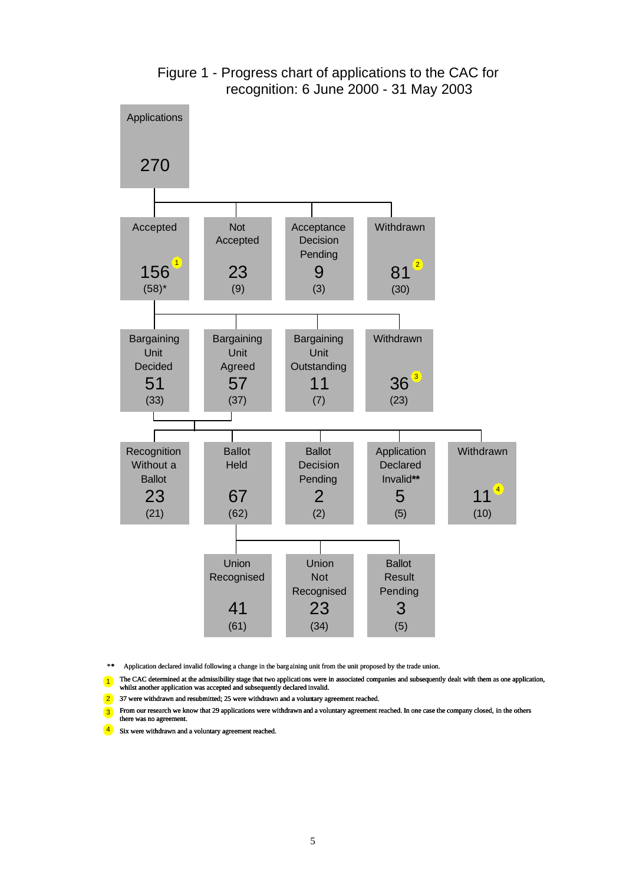

### Figure 1 - Progress chart of applications to the CAC for recognition: 6 June 2000 - 31 May 2003

- \***\*** Application declared invalid following a change in the bargaining unit from the unit proposed by the trade union.
- 1 The CAC determined at the admissibility stage that two applications were in associated companies and subsequently dealt with them as one application, whilst another application was accepted and subsequently declared invalid.
- 2 37 were withdrawn and resubmitted; 25 were withdrawn and a voluntary agreement reached.
- From our research we know that 29 applications were withdrawn and a voluntary agreement reached. In one case the company closed, in the others there was no agreement.
- <sup>4</sup> Six were withdrawn and a voluntary agreement reached.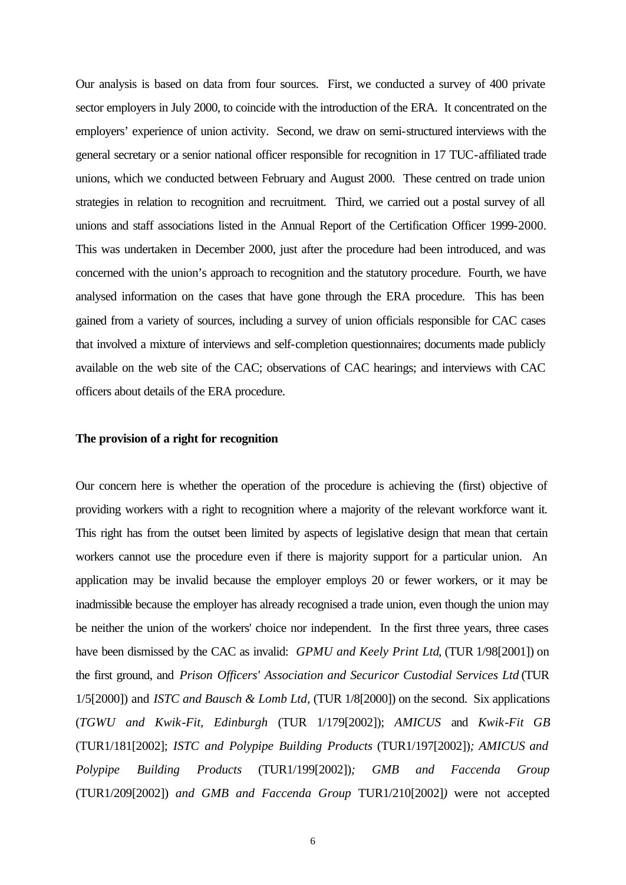Our analysis is based on data from four sources. First, we conducted a survey of 400 private sector employers in July 2000, to coincide with the introduction of the ERA. It concentrated on the employers' experience of union activity. Second, we draw on semi-structured interviews with the general secretary or a senior national officer responsible for recognition in 17 TUC-affiliated trade unions, which we conducted between February and August 2000. These centred on trade union strategies in relation to recognition and recruitment. Third, we carried out a postal survey of all unions and staff associations listed in the Annual Report of the Certification Officer 1999-2000. This was undertaken in December 2000, just after the procedure had been introduced, and was concerned with the union's approach to recognition and the statutory procedure. Fourth, we have analysed information on the cases that have gone through the ERA procedure. This has been gained from a variety of sources, including a survey of union officials responsible for CAC cases that involved a mixture of interviews and self-completion questionnaires; documents made publicly available on the web site of the CAC; observations of CAC hearings; and interviews with CAC officers about details of the ERA procedure.

#### **The provision of a right for recognition**

Our concern here is whether the operation of the procedure is achieving the (first) objective of providing workers with a right to recognition where a majority of the relevant workforce want it. This right has from the outset been limited by aspects of legislative design that mean that certain workers cannot use the procedure even if there is majority support for a particular union. An application may be invalid because the employer employs 20 or fewer workers, or it may be inadmissible because the employer has already recognised a trade union, even though the union may be neither the union of the workers' choice nor independent. In the first three years, three cases have been dismissed by the CAC as invalid: *GPMU and Keely Print Ltd*, (TUR 1/98[2001]) on the first ground, and *Prison Officers' Association and Securicor Custodial Services Ltd* (TUR 1/5[2000]) and *ISTC and Bausch & Lomb Ltd,* (TUR 1/8[2000]) on the second. Six applications (*TGWU and Kwik-Fit, Edinburgh* (TUR 1/179[2002]); *AMICUS* and *Kwik-Fit GB* (TUR1/181[2002]; *ISTC and Polypipe Building Products* (TUR1/197[2002])*; AMICUS and Polypipe Building Products* (TUR1/199[2002])*; GMB and Faccenda Group* (TUR1/209[2002]) *and GMB and Faccenda Group* TUR1/210[2002]*)* were not accepted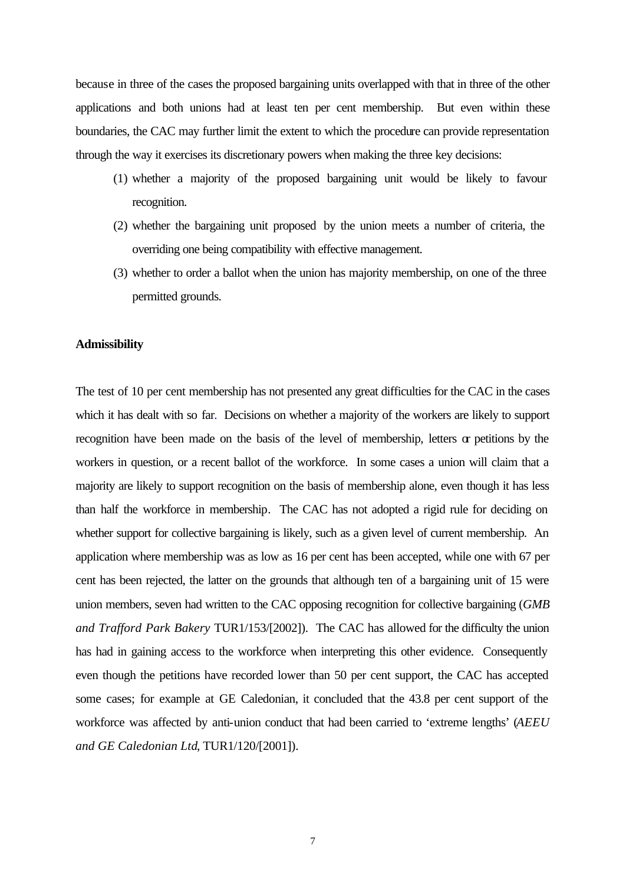because in three of the cases the proposed bargaining units overlapped with that in three of the other applications and both unions had at least ten per cent membership. But even within these boundaries, the CAC may further limit the extent to which the procedure can provide representation through the way it exercises its discretionary powers when making the three key decisions:

- (1) whether a majority of the proposed bargaining unit would be likely to favour recognition.
- (2) whether the bargaining unit proposed by the union meets a number of criteria, the overriding one being compatibility with effective management.
- (3) whether to order a ballot when the union has majority membership, on one of the three permitted grounds.

#### **Admissibility**

The test of 10 per cent membership has not presented any great difficulties for the CAC in the cases which it has dealt with so far. Decisions on whether a majority of the workers are likely to support recognition have been made on the basis of the level of membership, letters or petitions by the workers in question, or a recent ballot of the workforce. In some cases a union will claim that a majority are likely to support recognition on the basis of membership alone, even though it has less than half the workforce in membership. The CAC has not adopted a rigid rule for deciding on whether support for collective bargaining is likely, such as a given level of current membership. An application where membership was as low as 16 per cent has been accepted, while one with 67 per cent has been rejected, the latter on the grounds that although ten of a bargaining unit of 15 were union members, seven had written to the CAC opposing recognition for collective bargaining (*GMB and Trafford Park Bakery* TUR1/153/[2002]). The CAC has allowed for the difficulty the union has had in gaining access to the workforce when interpreting this other evidence. Consequently even though the petitions have recorded lower than 50 per cent support, the CAC has accepted some cases; for example at GE Caledonian, it concluded that the 43.8 per cent support of the workforce was affected by anti-union conduct that had been carried to 'extreme lengths' (*AEEU and GE Caledonian Ltd*, TUR1/120/[2001]).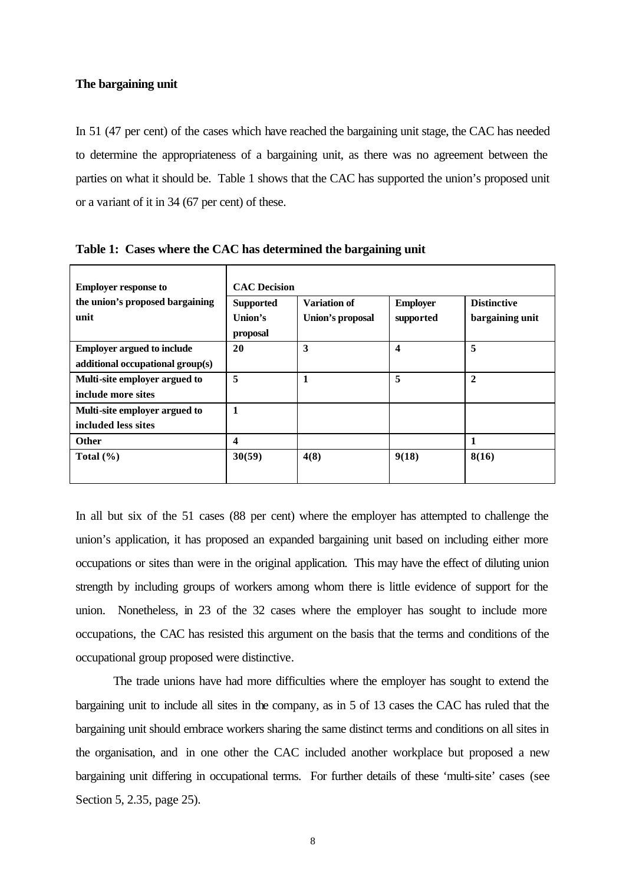#### **The bargaining unit**

In 51 (47 per cent) of the cases which have reached the bargaining unit stage, the CAC has needed to determine the appropriateness of a bargaining unit, as there was no agreement between the parties on what it should be. Table 1 shows that the CAC has supported the union's proposed unit or a variant of it in 34 (67 per cent) of these.

| <b>Employer response to</b>       | <b>CAC</b> Decision |                  |                         |                    |
|-----------------------------------|---------------------|------------------|-------------------------|--------------------|
| the union's proposed bargaining   | <b>Supported</b>    | Variation of     | <b>Employer</b>         | <b>Distinctive</b> |
| unit                              | Union's             | Union's proposal | supported               | bargaining unit    |
|                                   | proposal            |                  |                         |                    |
| <b>Employer argued to include</b> | 20                  | 3                | $\overline{\mathbf{4}}$ | 5                  |
| additional occupational group(s)  |                     |                  |                         |                    |
| Multi-site employer argued to     | 5                   | 1                | 5                       | $\mathbf{2}$       |
| include more sites                |                     |                  |                         |                    |
| Multi-site employer argued to     | 1                   |                  |                         |                    |
| included less sites               |                     |                  |                         |                    |
| <b>Other</b>                      | 4                   |                  |                         | 1                  |
| Total $(\% )$                     | 30(59)              | 4(8)             | 9(18)                   | 8(16)              |
|                                   |                     |                  |                         |                    |

**Table 1: Cases where the CAC has determined the bargaining unit**

In all but six of the 51 cases (88 per cent) where the employer has attempted to challenge the union's application, it has proposed an expanded bargaining unit based on including either more occupations or sites than were in the original application. This may have the effect of diluting union strength by including groups of workers among whom there is little evidence of support for the union. Nonetheless, in 23 of the 32 cases where the employer has sought to include more occupations, the CAC has resisted this argument on the basis that the terms and conditions of the occupational group proposed were distinctive*.*

The trade unions have had more difficulties where the employer has sought to extend the bargaining unit to include all sites in the company, as in 5 of 13 cases the CAC has ruled that the bargaining unit should embrace workers sharing the same distinct terms and conditions on all sites in the organisation, and in one other the CAC included another workplace but proposed a new bargaining unit differing in occupational terms. For further details of these 'multi-site' cases (see Section 5, 2.35, page 25).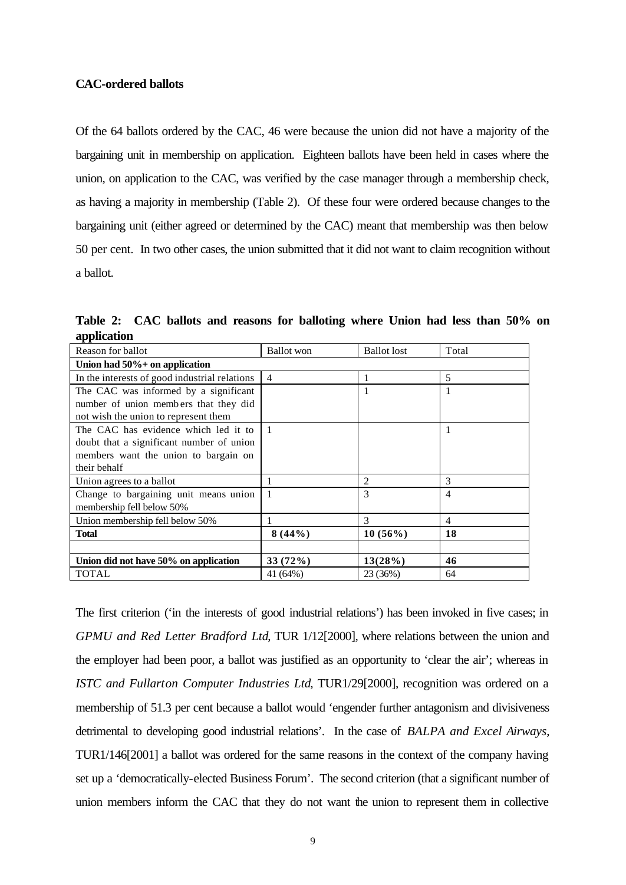#### **CAC-ordered ballots**

Of the 64 ballots ordered by the CAC, 46 were because the union did not have a majority of the bargaining unit in membership on application. Eighteen ballots have been held in cases where the union, on application to the CAC, was verified by the case manager through a membership check, as having a majority in membership (Table 2). Of these four were ordered because changes to the bargaining unit (either agreed or determined by the CAC) meant that membership was then below 50 per cent. In two other cases, the union submitted that it did not want to claim recognition without a ballot.

| . ь І. <del>.</del><br>Reason for ballot      | <b>Ballot</b> won | <b>Ballot</b> lost | Total |
|-----------------------------------------------|-------------------|--------------------|-------|
|                                               |                   |                    |       |
| Union had $50\%$ + on application             |                   |                    |       |
| In the interests of good industrial relations | $\overline{4}$    |                    | 5     |
| The CAC was informed by a significant         |                   |                    | 1     |
| number of union members that they did         |                   |                    |       |
| not wish the union to represent them          |                   |                    |       |
| The CAC has evidence which led it to          | $\mathbf{1}$      |                    | 1     |
| doubt that a significant number of union      |                   |                    |       |
| members want the union to bargain on          |                   |                    |       |
| their behalf                                  |                   |                    |       |
| Union agrees to a ballot                      | 1                 | 2                  | 3     |
| Change to bargaining unit means union         | 1                 | 3                  | 4     |
| membership fell below 50%                     |                   |                    |       |
| Union membership fell below 50%               |                   | 3                  | 4     |
| <b>Total</b>                                  | 8(44%)            | $10(56\%)$         | 18    |
|                                               |                   |                    |       |
| Union did not have 50% on application         | 33 (72%)          | 13(28%)            | 46    |
| <b>TOTAL</b>                                  | 41 (64%)          | 23 (36%)           | 64    |

**Table 2: CAC ballots and reasons for balloting where Union had less than 50% on application**

The first criterion ('in the interests of good industrial relations') has been invoked in five cases; in *GPMU and Red Letter Bradford Ltd*, TUR 1/12[2000], where relations between the union and the employer had been poor, a ballot was justified as an opportunity to 'clear the air'; whereas in *ISTC and Fullarton Computer Industries Ltd*, TUR1/29[2000], recognition was ordered on a membership of 51.3 per cent because a ballot would 'engender further antagonism and divisiveness detrimental to developing good industrial relations'. In the case of *BALPA and Excel Airways*, TUR1/146[2001] a ballot was ordered for the same reasons in the context of the company having set up a 'democratically-elected Business Forum'. The second criterion (that a significant number of union members inform the CAC that they do not want the union to represent them in collective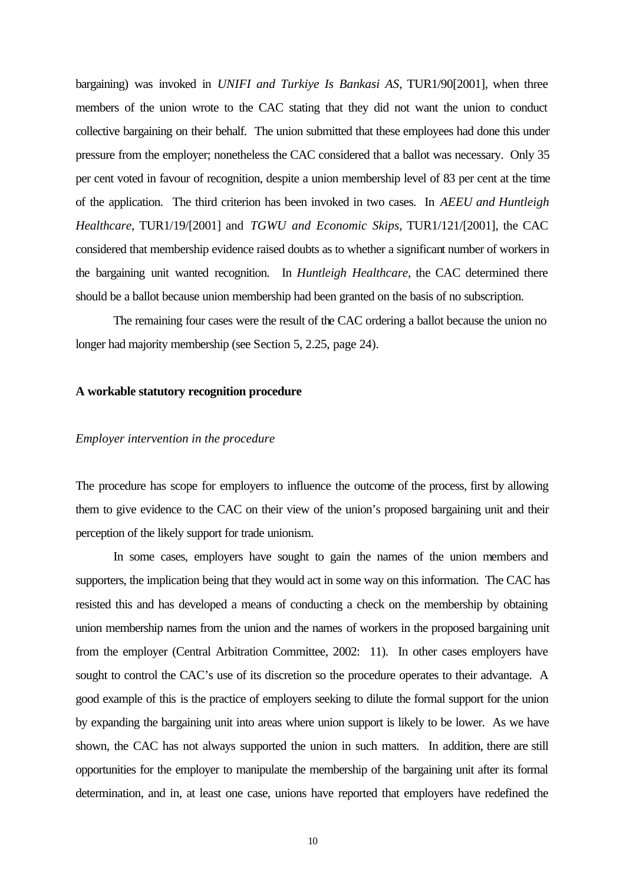bargaining) was invoked in *UNIFI and Turkiye Is Bankasi AS*, TUR1/90[2001], when three members of the union wrote to the CAC stating that they did not want the union to conduct collective bargaining on their behalf. The union submitted that these employees had done this under pressure from the employer; nonetheless the CAC considered that a ballot was necessary. Only 35 per cent voted in favour of recognition, despite a union membership level of 83 per cent at the time of the application. The third criterion has been invoked in two cases. In *AEEU and Huntleigh Healthcare*, TUR1/19/[2001] and *TGWU and Economic Skips*, TUR1/121/[2001], the CAC considered that membership evidence raised doubts as to whether a significant number of workers in the bargaining unit wanted recognition. In *Huntleigh Healthcare*, the CAC determined there should be a ballot because union membership had been granted on the basis of no subscription.

The remaining four cases were the result of the CAC ordering a ballot because the union no longer had majority membership (see Section 5, 2.25, page 24).

#### **A workable statutory recognition procedure**

#### *Employer intervention in the procedure*

The procedure has scope for employers to influence the outcome of the process, first by allowing them to give evidence to the CAC on their view of the union's proposed bargaining unit and their perception of the likely support for trade unionism.

In some cases, employers have sought to gain the names of the union members and supporters, the implication being that they would act in some way on this information. The CAC has resisted this and has developed a means of conducting a check on the membership by obtaining union membership names from the union and the names of workers in the proposed bargaining unit from the employer (Central Arbitration Committee, 2002: 11). In other cases employers have sought to control the CAC's use of its discretion so the procedure operates to their advantage. A good example of this is the practice of employers seeking to dilute the formal support for the union by expanding the bargaining unit into areas where union support is likely to be lower. As we have shown, the CAC has not always supported the union in such matters. In addition, there are still opportunities for the employer to manipulate the membership of the bargaining unit after its formal determination, and in, at least one case, unions have reported that employers have redefined the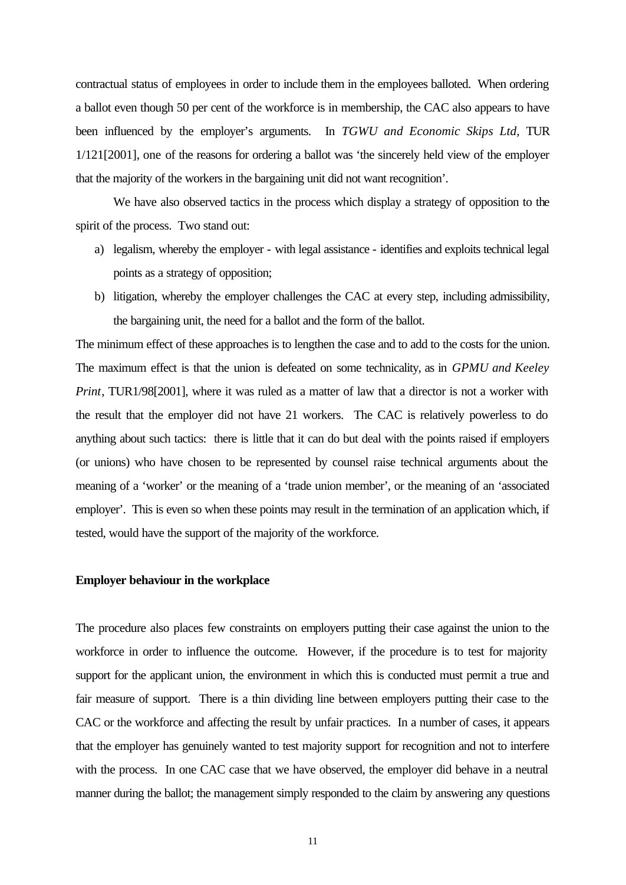contractual status of employees in order to include them in the employees balloted. When ordering a ballot even though 50 per cent of the workforce is in membership, the CAC also appears to have been influenced by the employer's arguments. In *TGWU and Economic Skips Ltd,* TUR 1/121[2001], one of the reasons for ordering a ballot was 'the sincerely held view of the employer that the majority of the workers in the bargaining unit did not want recognition'.

We have also observed tactics in the process which display a strategy of opposition to the spirit of the process. Two stand out:

- a) legalism, whereby the employer with legal assistance identifies and exploits technical legal points as a strategy of opposition;
- b) litigation, whereby the employer challenges the CAC at every step, including admissibility, the bargaining unit, the need for a ballot and the form of the ballot.

The minimum effect of these approaches is to lengthen the case and to add to the costs for the union. The maximum effect is that the union is defeated on some technicality, as in *GPMU and Keeley Print*, TUR1/98[2001], where it was ruled as a matter of law that a director is not a worker with the result that the employer did not have 21 workers. The CAC is relatively powerless to do anything about such tactics: there is little that it can do but deal with the points raised if employers (or unions) who have chosen to be represented by counsel raise technical arguments about the meaning of a 'worker' or the meaning of a 'trade union member', or the meaning of an 'associated employer'. This is even so when these points may result in the termination of an application which, if tested, would have the support of the majority of the workforce.

#### **Employer behaviour in the workplace**

The procedure also places few constraints on employers putting their case against the union to the workforce in order to influence the outcome. However, if the procedure is to test for majority support for the applicant union, the environment in which this is conducted must permit a true and fair measure of support. There is a thin dividing line between employers putting their case to the CAC or the workforce and affecting the result by unfair practices. In a number of cases, it appears that the employer has genuinely wanted to test majority support for recognition and not to interfere with the process. In one CAC case that we have observed, the employer did behave in a neutral manner during the ballot; the management simply responded to the claim by answering any questions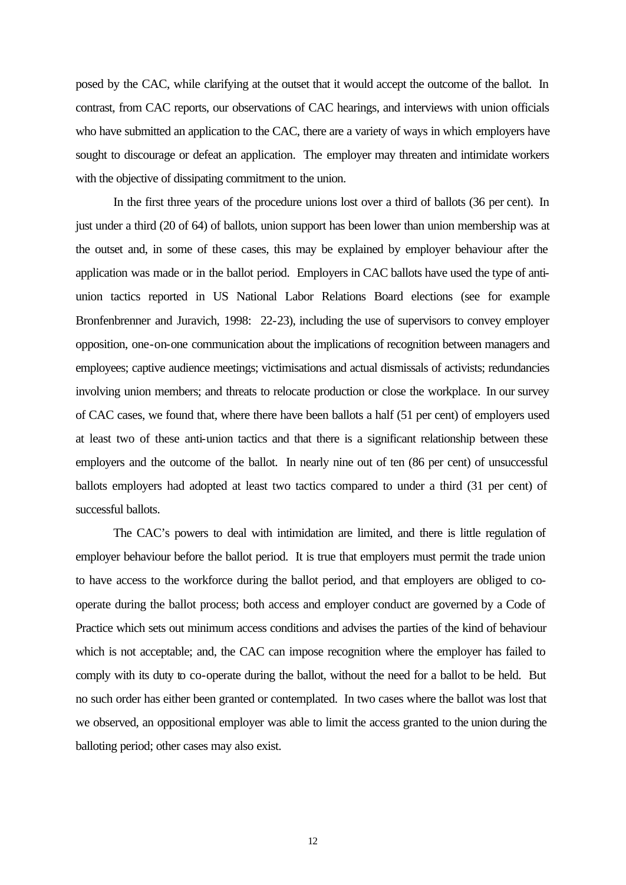posed by the CAC, while clarifying at the outset that it would accept the outcome of the ballot. In contrast, from CAC reports, our observations of CAC hearings, and interviews with union officials who have submitted an application to the CAC, there are a variety of ways in which employers have sought to discourage or defeat an application. The employer may threaten and intimidate workers with the objective of dissipating commitment to the union.

In the first three years of the procedure unions lost over a third of ballots (36 per cent). In just under a third (20 of 64) of ballots, union support has been lower than union membership was at the outset and, in some of these cases, this may be explained by employer behaviour after the application was made or in the ballot period. Employers in CAC ballots have used the type of antiunion tactics reported in US National Labor Relations Board elections (see for example Bronfenbrenner and Juravich, 1998: 22-23), including the use of supervisors to convey employer opposition, one-on-one communication about the implications of recognition between managers and employees; captive audience meetings; victimisations and actual dismissals of activists; redundancies involving union members; and threats to relocate production or close the workplace. In our survey of CAC cases, we found that, where there have been ballots a half (51 per cent) of employers used at least two of these anti-union tactics and that there is a significant relationship between these employers and the outcome of the ballot. In nearly nine out of ten (86 per cent) of unsuccessful ballots employers had adopted at least two tactics compared to under a third (31 per cent) of successful ballots.

The CAC's powers to deal with intimidation are limited, and there is little regulation of employer behaviour before the ballot period. It is true that employers must permit the trade union to have access to the workforce during the ballot period, and that employers are obliged to cooperate during the ballot process; both access and employer conduct are governed by a Code of Practice which sets out minimum access conditions and advises the parties of the kind of behaviour which is not acceptable; and, the CAC can impose recognition where the employer has failed to comply with its duty to co-operate during the ballot, without the need for a ballot to be held. But no such order has either been granted or contemplated. In two cases where the ballot was lost that we observed, an oppositional employer was able to limit the access granted to the union during the balloting period; other cases may also exist.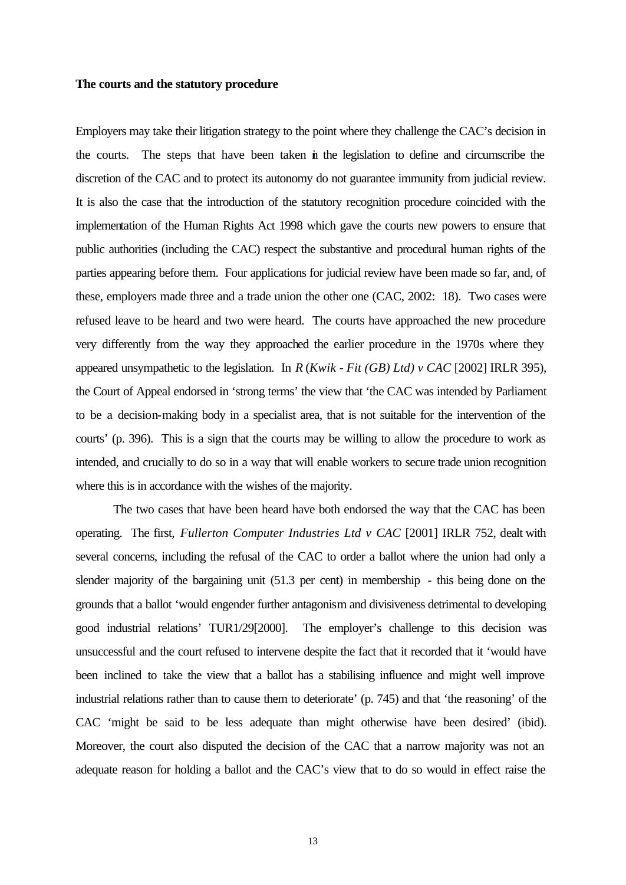#### **The courts and the statutory procedure**

Employers may take their litigation strategy to the point where they challenge the CAC's decision in the courts. The steps that have been taken in the legislation to define and circumscribe the discretion of the CAC and to protect its autonomy do not guarantee immunity from judicial review. It is also the case that the introduction of the statutory recognition procedure coincided with the implementation of the Human Rights Act 1998 which gave the courts new powers to ensure that public authorities (including the CAC) respect the substantive and procedural human rights of the parties appearing before them. Four applications for judicial review have been made so far, and, of these, employers made three and a trade union the other one (CAC, 2002: 18). Two cases were refused leave to be heard and two were heard. The courts have approached the new procedure very differently from the way they approached the earlier procedure in the 1970s where they appeared unsympathetic to the legislation. In *R* (*Kwik - Fit (GB) Ltd) v CAC* [2002] IRLR 395), the Court of Appeal endorsed in 'strong terms' the view that 'the CAC was intended by Parliament to be a decision-making body in a specialist area, that is not suitable for the intervention of the courts' (p. 396). This is a sign that the courts may be willing to allow the procedure to work as intended, and crucially to do so in a way that will enable workers to secure trade union recognition where this is in accordance with the wishes of the majority.

The two cases that have been heard have both endorsed the way that the CAC has been operating. The first, *Fullerton Computer Industries Ltd v CAC* [2001] IRLR 752, dealt with several concerns, including the refusal of the CAC to order a ballot where the union had only a slender majority of the bargaining unit (51.3 per cent) in membership - this being done on the grounds that a ballot 'would engender further antagonism and divisiveness detrimental to developing good industrial relations' TUR1/29[2000]. The employer's challenge to this decision was unsuccessful and the court refused to intervene despite the fact that it recorded that it 'would have been inclined to take the view that a ballot has a stabilising influence and might well improve industrial relations rather than to cause them to deteriorate' (p. 745) and that 'the reasoning' of the CAC 'might be said to be less adequate than might otherwise have been desired' (ibid). Moreover, the court also disputed the decision of the CAC that a narrow majority was not an adequate reason for holding a ballot and the CAC's view that to do so would in effect raise the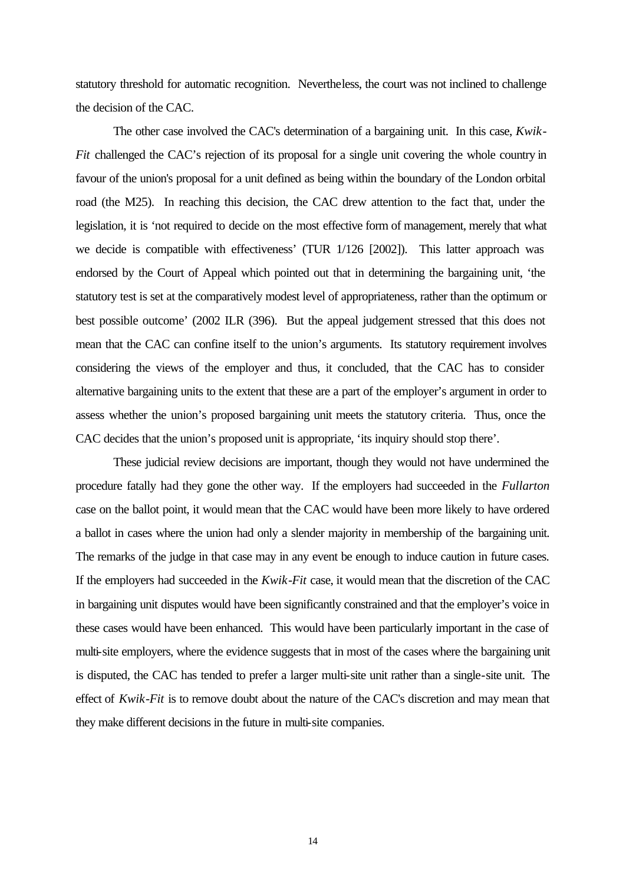statutory threshold for automatic recognition. Nevertheless, the court was not inclined to challenge the decision of the CAC.

The other case involved the CAC's determination of a bargaining unit. In this case, *Kwik-Fit* challenged the CAC's rejection of its proposal for a single unit covering the whole country in favour of the union's proposal for a unit defined as being within the boundary of the London orbital road (the M25). In reaching this decision, the CAC drew attention to the fact that, under the legislation, it is 'not required to decide on the most effective form of management, merely that what we decide is compatible with effectiveness' (TUR 1/126 [2002]). This latter approach was endorsed by the Court of Appeal which pointed out that in determining the bargaining unit, 'the statutory test is set at the comparatively modest level of appropriateness, rather than the optimum or best possible outcome' (2002 ILR (396). But the appeal judgement stressed that this does not mean that the CAC can confine itself to the union's arguments. Its statutory requirement involves considering the views of the employer and thus, it concluded, that the CAC has to consider alternative bargaining units to the extent that these are a part of the employer's argument in order to assess whether the union's proposed bargaining unit meets the statutory criteria. Thus, once the CAC decides that the union's proposed unit is appropriate, 'its inquiry should stop there'.

These judicial review decisions are important, though they would not have undermined the procedure fatally had they gone the other way. If the employers had succeeded in the *Fullarton*  case on the ballot point, it would mean that the CAC would have been more likely to have ordered a ballot in cases where the union had only a slender majority in membership of the bargaining unit. The remarks of the judge in that case may in any event be enough to induce caution in future cases. If the employers had succeeded in the *Kwik-Fit* case, it would mean that the discretion of the CAC in bargaining unit disputes would have been significantly constrained and that the employer's voice in these cases would have been enhanced. This would have been particularly important in the case of multi-site employers, where the evidence suggests that in most of the cases where the bargaining unit is disputed, the CAC has tended to prefer a larger multi-site unit rather than a single-site unit. The effect of *Kwik-Fit* is to remove doubt about the nature of the CAC's discretion and may mean that they make different decisions in the future in multi-site companies.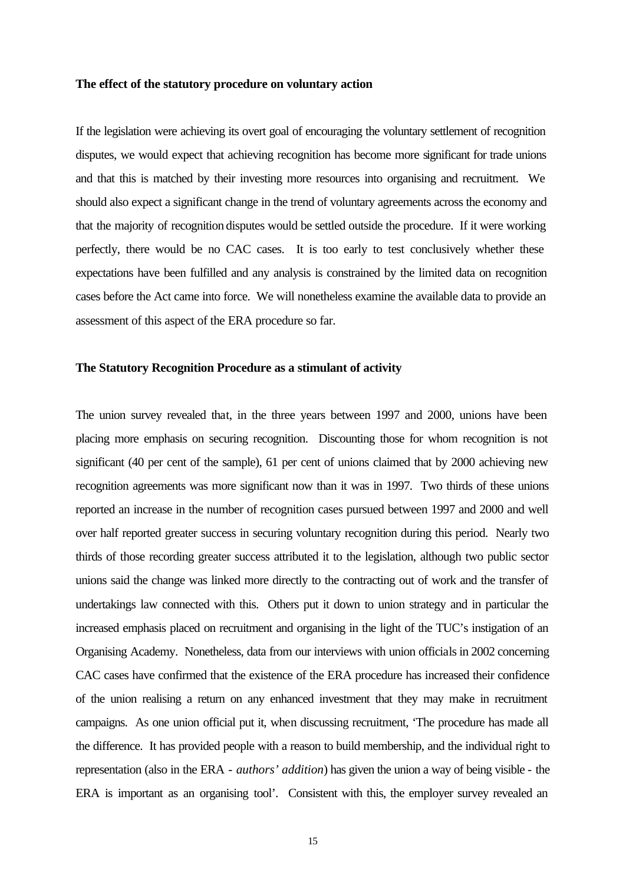#### **The effect of the statutory procedure on voluntary action**

If the legislation were achieving its overt goal of encouraging the voluntary settlement of recognition disputes, we would expect that achieving recognition has become more significant for trade unions and that this is matched by their investing more resources into organising and recruitment. We should also expect a significant change in the trend of voluntary agreements across the economy and that the majority of recognition disputes would be settled outside the procedure. If it were working perfectly, there would be no CAC cases. It is too early to test conclusively whether these expectations have been fulfilled and any analysis is constrained by the limited data on recognition cases before the Act came into force. We will nonetheless examine the available data to provide an assessment of this aspect of the ERA procedure so far.

#### **The Statutory Recognition Procedure as a stimulant of activity**

The union survey revealed that, in the three years between 1997 and 2000, unions have been placing more emphasis on securing recognition. Discounting those for whom recognition is not significant (40 per cent of the sample), 61 per cent of unions claimed that by 2000 achieving new recognition agreements was more significant now than it was in 1997. Two thirds of these unions reported an increase in the number of recognition cases pursued between 1997 and 2000 and well over half reported greater success in securing voluntary recognition during this period. Nearly two thirds of those recording greater success attributed it to the legislation, although two public sector unions said the change was linked more directly to the contracting out of work and the transfer of undertakings law connected with this. Others put it down to union strategy and in particular the increased emphasis placed on recruitment and organising in the light of the TUC's instigation of an Organising Academy. Nonetheless, data from our interviews with union officials in 2002 concerning CAC cases have confirmed that the existence of the ERA procedure has increased their confidence of the union realising a return on any enhanced investment that they may make in recruitment campaigns. As one union official put it, when discussing recruitment, 'The procedure has made all the difference. It has provided people with a reason to build membership, and the individual right to representation (also in the ERA - *authors' addition*) has given the union a way of being visible - the ERA is important as an organising tool'. Consistent with this, the employer survey revealed an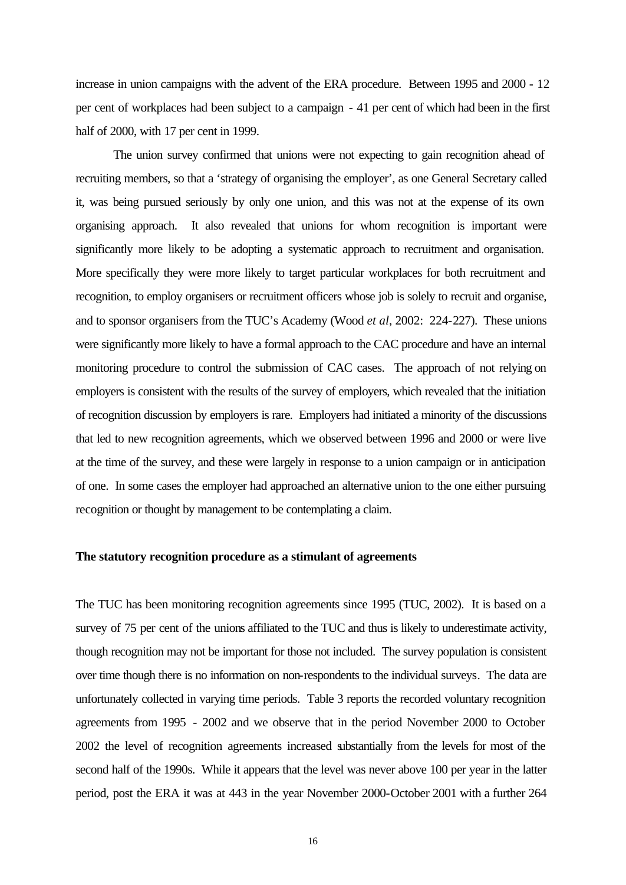increase in union campaigns with the advent of the ERA procedure. Between 1995 and 2000 - 12 per cent of workplaces had been subject to a campaign - 41 per cent of which had been in the first half of 2000, with 17 per cent in 1999.

The union survey confirmed that unions were not expecting to gain recognition ahead of recruiting members, so that a 'strategy of organising the employer', as one General Secretary called it, was being pursued seriously by only one union, and this was not at the expense of its own organising approach. It also revealed that unions for whom recognition is important were significantly more likely to be adopting a systematic approach to recruitment and organisation. More specifically they were more likely to target particular workplaces for both recruitment and recognition, to employ organisers or recruitment officers whose job is solely to recruit and organise, and to sponsor organisers from the TUC's Academy (Wood *et al*, 2002: 224-227). These unions were significantly more likely to have a formal approach to the CAC procedure and have an internal monitoring procedure to control the submission of CAC cases. The approach of not relying on employers is consistent with the results of the survey of employers, which revealed that the initiation of recognition discussion by employers is rare. Employers had initiated a minority of the discussions that led to new recognition agreements, which we observed between 1996 and 2000 or were live at the time of the survey, and these were largely in response to a union campaign or in anticipation of one. In some cases the employer had approached an alternative union to the one either pursuing recognition or thought by management to be contemplating a claim.

#### **The statutory recognition procedure as a stimulant of agreements**

The TUC has been monitoring recognition agreements since 1995 (TUC, 2002). It is based on a survey of 75 per cent of the unions affiliated to the TUC and thus is likely to underestimate activity, though recognition may not be important for those not included. The survey population is consistent over time though there is no information on non-respondents to the individual surveys. The data are unfortunately collected in varying time periods. Table 3 reports the recorded voluntary recognition agreements from 1995 - 2002 and we observe that in the period November 2000 to October 2002 the level of recognition agreements increased substantially from the levels for most of the second half of the 1990s. While it appears that the level was never above 100 per year in the latter period, post the ERA it was at 443 in the year November 2000-October 2001 with a further 264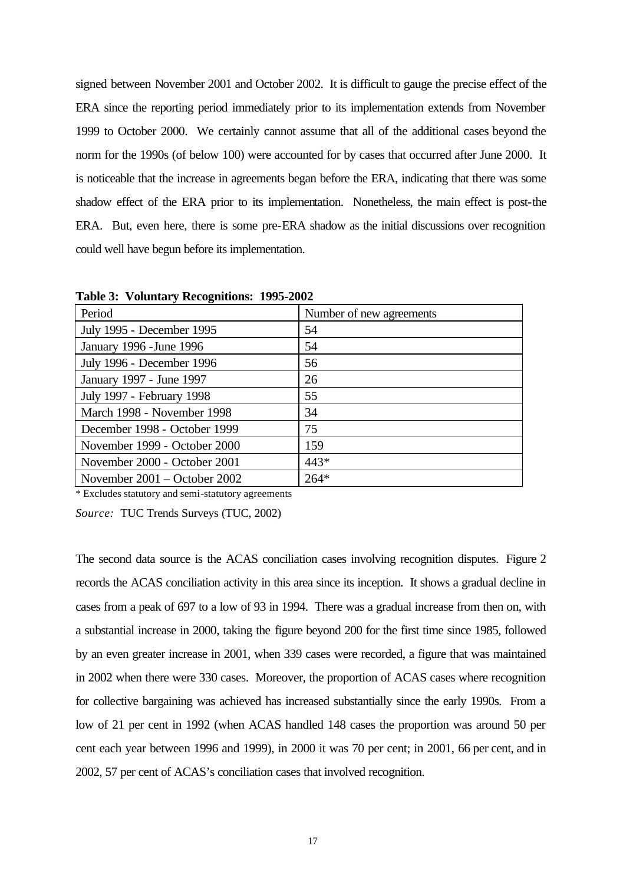signed between November 2001 and October 2002. It is difficult to gauge the precise effect of the ERA since the reporting period immediately prior to its implementation extends from November 1999 to October 2000. We certainly cannot assume that all of the additional cases beyond the norm for the 1990s (of below 100) were accounted for by cases that occurred after June 2000. It is noticeable that the increase in agreements began before the ERA, indicating that there was some shadow effect of the ERA prior to its implementation. Nonetheless, the main effect is post-the ERA. But, even here, there is some pre-ERA shadow as the initial discussions over recognition could well have begun before its implementation.

| $1000 \times 100000$           |                          |  |
|--------------------------------|--------------------------|--|
| Period                         | Number of new agreements |  |
| July 1995 - December 1995      | 54                       |  |
| January 1996 - June 1996       | 54                       |  |
| July 1996 - December 1996      | 56                       |  |
| January 1997 - June 1997       | 26                       |  |
| July 1997 - February 1998      | 55                       |  |
| March 1998 - November 1998     | 34                       |  |
| December 1998 - October 1999   | 75                       |  |
| November 1999 - October 2000   | 159                      |  |
| November 2000 - October 2001   | $443*$                   |  |
| November $2001 -$ October 2002 | $264*$                   |  |

**Table 3: Voluntary Recognitions: 1995-2002**

\* Excludes statutory and semi-statutory agreements

*Source:* TUC Trends Surveys (TUC, 2002)

The second data source is the ACAS conciliation cases involving recognition disputes. Figure 2 records the ACAS conciliation activity in this area since its inception. It shows a gradual decline in cases from a peak of 697 to a low of 93 in 1994. There was a gradual increase from then on, with a substantial increase in 2000, taking the figure beyond 200 for the first time since 1985, followed by an even greater increase in 2001, when 339 cases were recorded, a figure that was maintained in 2002 when there were 330 cases. Moreover, the proportion of ACAS cases where recognition for collective bargaining was achieved has increased substantially since the early 1990s. From a low of 21 per cent in 1992 (when ACAS handled 148 cases the proportion was around 50 per cent each year between 1996 and 1999), in 2000 it was 70 per cent; in 2001, 66 per cent, and in 2002, 57 per cent of ACAS's conciliation cases that involved recognition.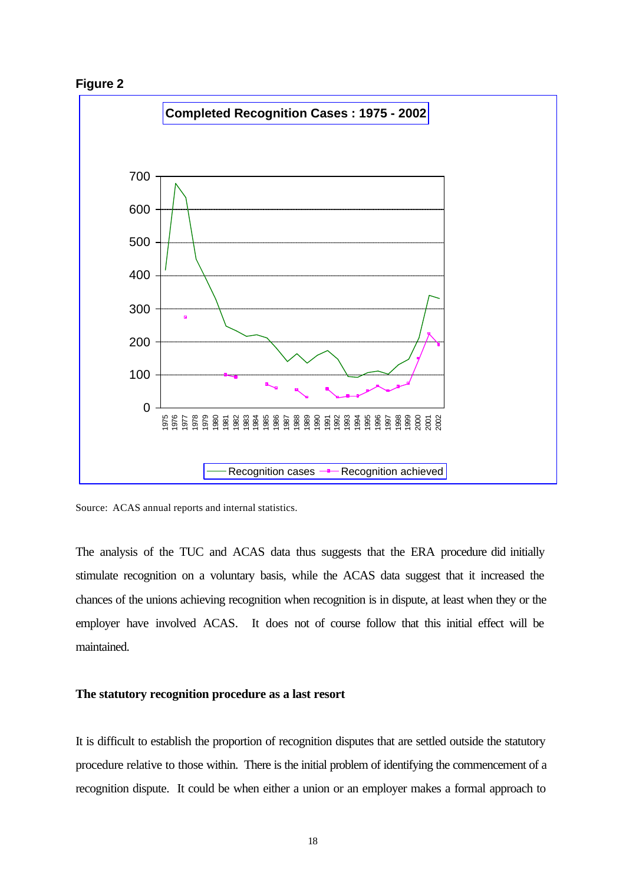



Source: ACAS annual reports and internal statistics.

The analysis of the TUC and ACAS data thus suggests that the ERA procedure did initially stimulate recognition on a voluntary basis, while the ACAS data suggest that it increased the chances of the unions achieving recognition when recognition is in dispute, at least when they or the employer have involved ACAS*.* It does not of course follow that this initial effect will be maintained.

#### **The statutory recognition procedure as a last resort**

It is difficult to establish the proportion of recognition disputes that are settled outside the statutory procedure relative to those within. There is the initial problem of identifying the commencement of a recognition dispute. It could be when either a union or an employer makes a formal approach to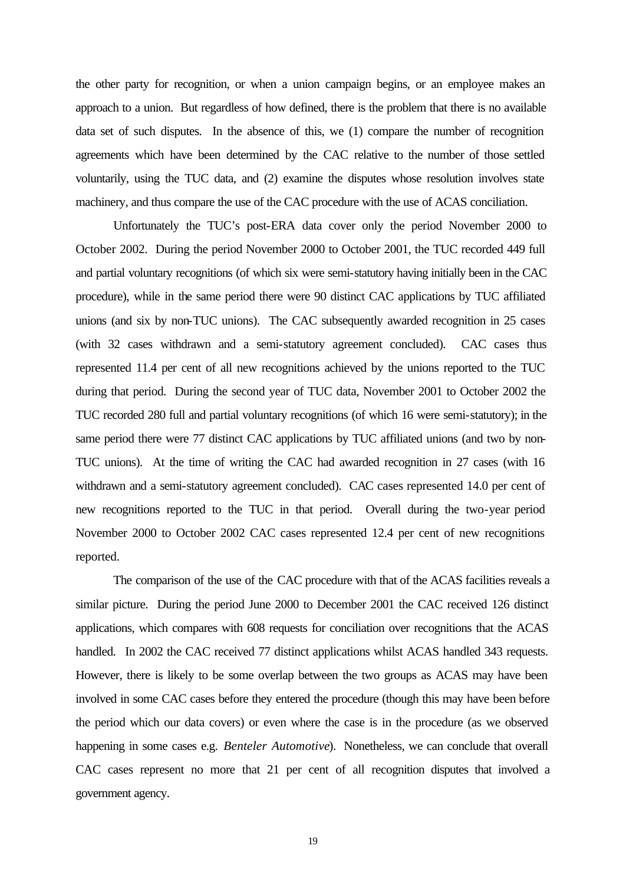the other party for recognition, or when a union campaign begins, or an employee makes an approach to a union. But regardless of how defined, there is the problem that there is no available data set of such disputes. In the absence of this, we (1) compare the number of recognition agreements which have been determined by the CAC relative to the number of those settled voluntarily, using the TUC data, and (2) examine the disputes whose resolution involves state machinery, and thus compare the use of the CAC procedure with the use of ACAS conciliation.

Unfortunately the TUC's post-ERA data cover only the period November 2000 to October 2002*.* During the period November 2000 to October 2001, the TUC recorded 449 full and partial voluntary recognitions (of which six were semi-statutory having initially been in the CAC procedure), while in the same period there were 90 distinct CAC applications by TUC affiliated unions (and six by non-TUC unions). The CAC subsequently awarded recognition in 25 cases (with 32 cases withdrawn and a semi-statutory agreement concluded). CAC cases thus represented 11.4 per cent of all new recognitions achieved by the unions reported to the TUC during that period. During the second year of TUC data, November 2001 to October 2002 the TUC recorded 280 full and partial voluntary recognitions (of which 16 were semi-statutory); in the same period there were 77 distinct CAC applications by TUC affiliated unions (and two by non-TUC unions). At the time of writing the CAC had awarded recognition in 27 cases (with 16 withdrawn and a semi-statutory agreement concluded). CAC cases represented 14.0 per cent of new recognitions reported to the TUC in that period. Overall during the two-year period November 2000 to October 2002 CAC cases represented 12.4 per cent of new recognitions reported.

The comparison of the use of the CAC procedure with that of the ACAS facilities reveals a similar picture. During the period June 2000 to December 2001 the CAC received 126 distinct applications, which compares with 608 requests for conciliation over recognitions that the ACAS handled. In 2002 the CAC received 77 distinct applications whilst ACAS handled 343 requests. However, there is likely to be some overlap between the two groups as ACAS may have been involved in some CAC cases before they entered the procedure (though this may have been before the period which our data covers) or even where the case is in the procedure (as we observed happening in some cases e.g. *Benteler Automotive*). Nonetheless, we can conclude that overall CAC cases represent no more that 21 per cent of all recognition disputes that involved a government agency.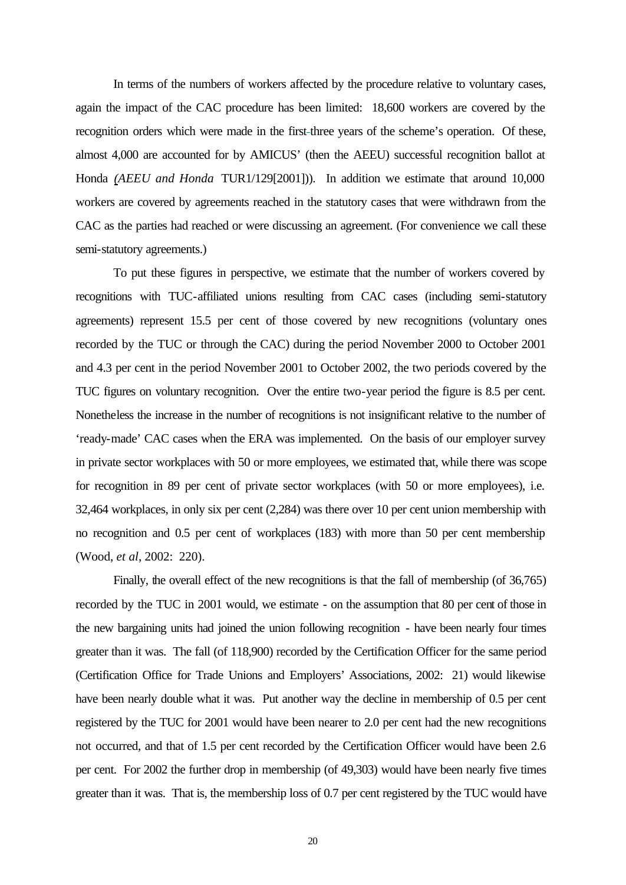In terms of the numbers of workers affected by the procedure relative to voluntary cases, again the impact of the CAC procedure has been limited: 18,600 workers are covered by the recognition orders which were made in the first-three years of the scheme's operation. Of these, almost 4,000 are accounted for by AMICUS' (then the AEEU) successful recognition ballot at Honda *(AEEU and Honda* TUR1/129[2001])). In addition we estimate that around 10,000 workers are covered by agreements reached in the statutory cases that were withdrawn from the CAC as the parties had reached or were discussing an agreement. (For convenience we call these semi-statutory agreements.)

To put these figures in perspective, we estimate that the number of workers covered by recognitions with TUC-affiliated unions resulting from CAC cases (including semi-statutory agreements) represent 15.5 per cent of those covered by new recognitions (voluntary ones recorded by the TUC or through the CAC) during the period November 2000 to October 2001 and 4.3 per cent in the period November 2001 to October 2002, the two periods covered by the TUC figures on voluntary recognition. Over the entire two-year period the figure is 8.5 per cent. Nonetheless the increase in the number of recognitions is not insignificant relative to the number of 'ready-made' CAC cases when the ERA was implemented. On the basis of our employer survey in private sector workplaces with 50 or more employees, we estimated that, while there was scope for recognition in 89 per cent of private sector workplaces (with 50 or more employees), i.e. 32,464 workplaces, in only six per cent (2,284) was there over 10 per cent union membership with no recognition and 0.5 per cent of workplaces (183) with more than 50 per cent membership (Wood, *et al*, 2002: 220).

Finally, the overall effect of the new recognitions is that the fall of membership (of 36,765) recorded by the TUC in 2001 would, we estimate - on the assumption that 80 per cent of those in the new bargaining units had joined the union following recognition - have been nearly four times greater than it was. The fall (of 118,900) recorded by the Certification Officer for the same period (Certification Office for Trade Unions and Employers' Associations, 2002: 21) would likewise have been nearly double what it was. Put another way the decline in membership of 0.5 per cent registered by the TUC for 2001 would have been nearer to 2.0 per cent had the new recognitions not occurred, and that of 1.5 per cent recorded by the Certification Officer would have been 2.6 per cent. For 2002 the further drop in membership (of 49,303) would have been nearly five times greater than it was. That is, the membership loss of 0.7 per cent registered by the TUC would have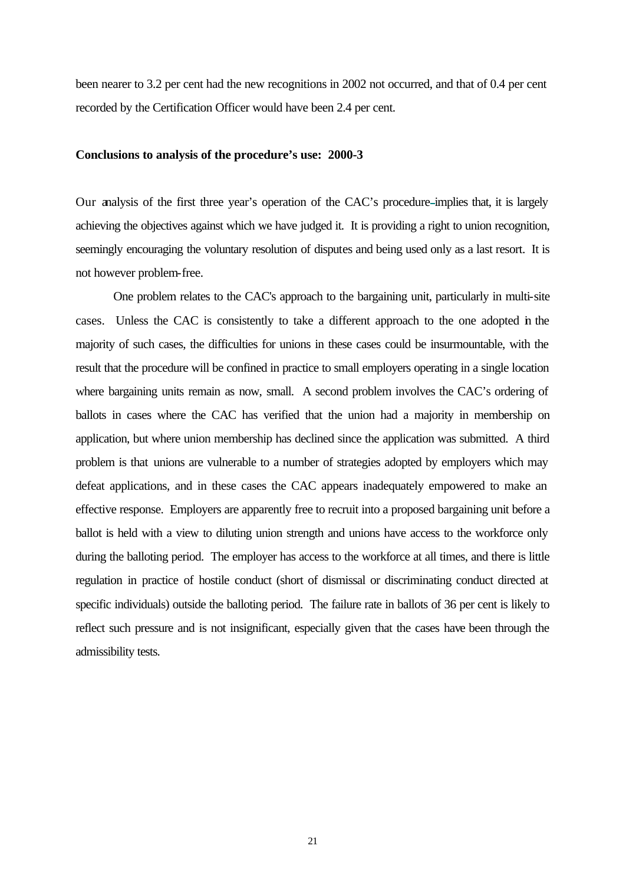been nearer to 3.2 per cent had the new recognitions in 2002 not occurred, and that of 0.4 per cent recorded by the Certification Officer would have been 2.4 per cent.

#### **Conclusions to analysis of the procedure's use: 2000-3**

Our analysis of the first three year's operation of the CAC's procedure implies that, it is largely achieving the objectives against which we have judged it. It is providing a right to union recognition, seemingly encouraging the voluntary resolution of disputes and being used only as a last resort. It is not however problem-free.

One problem relates to the CAC's approach to the bargaining unit, particularly in multi-site cases. Unless the CAC is consistently to take a different approach to the one adopted in the majority of such cases, the difficulties for unions in these cases could be insurmountable, with the result that the procedure will be confined in practice to small employers operating in a single location where bargaining units remain as now, small. A second problem involves the CAC's ordering of ballots in cases where the CAC has verified that the union had a majority in membership on application, but where union membership has declined since the application was submitted. A third problem is that unions are vulnerable to a number of strategies adopted by employers which may defeat applications, and in these cases the CAC appears inadequately empowered to make an effective response. Employers are apparently free to recruit into a proposed bargaining unit before a ballot is held with a view to diluting union strength and unions have access to the workforce only during the balloting period. The employer has access to the workforce at all times, and there is little regulation in practice of hostile conduct (short of dismissal or discriminating conduct directed at specific individuals) outside the balloting period. The failure rate in ballots of 36 per cent is likely to reflect such pressure and is not insignificant, especially given that the cases have been through the admissibility tests.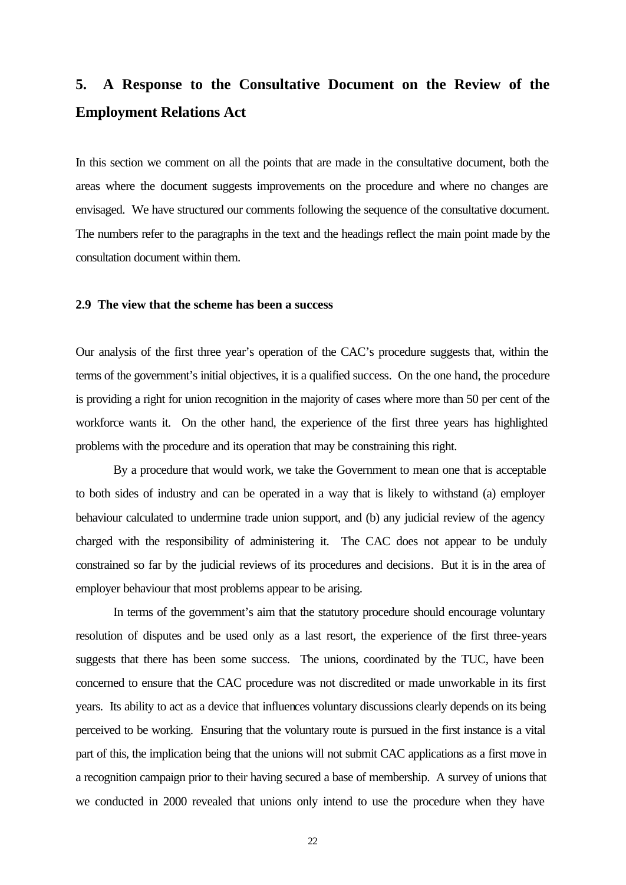# **5. A Response to the Consultative Document on the Review of the Employment Relations Act**

In this section we comment on all the points that are made in the consultative document, both the areas where the document suggests improvements on the procedure and where no changes are envisaged. We have structured our comments following the sequence of the consultative document. The numbers refer to the paragraphs in the text and the headings reflect the main point made by the consultation document within them.

#### **2.9 The view that the scheme has been a success**

Our analysis of the first three year's operation of the CAC's procedure suggests that, within the terms of the government's initial objectives, it is a qualified success. On the one hand, the procedure is providing a right for union recognition in the majority of cases where more than 50 per cent of the workforce wants it. On the other hand, the experience of the first three years has highlighted problems with the procedure and its operation that may be constraining this right.

By a procedure that would work, we take the Government to mean one that is acceptable to both sides of industry and can be operated in a way that is likely to withstand (a) employer behaviour calculated to undermine trade union support, and (b) any judicial review of the agency charged with the responsibility of administering it. The CAC does not appear to be unduly constrained so far by the judicial reviews of its procedures and decisions. But it is in the area of employer behaviour that most problems appear to be arising.

In terms of the government's aim that the statutory procedure should encourage voluntary resolution of disputes and be used only as a last resort, the experience of the first three-years suggests that there has been some success. The unions, coordinated by the TUC, have been concerned to ensure that the CAC procedure was not discredited or made unworkable in its first years. Its ability to act as a device that influences voluntary discussions clearly depends on its being perceived to be working. Ensuring that the voluntary route is pursued in the first instance is a vital part of this, the implication being that the unions will not submit CAC applications as a first move in a recognition campaign prior to their having secured a base of membership. A survey of unions that we conducted in 2000 revealed that unions only intend to use the procedure when they have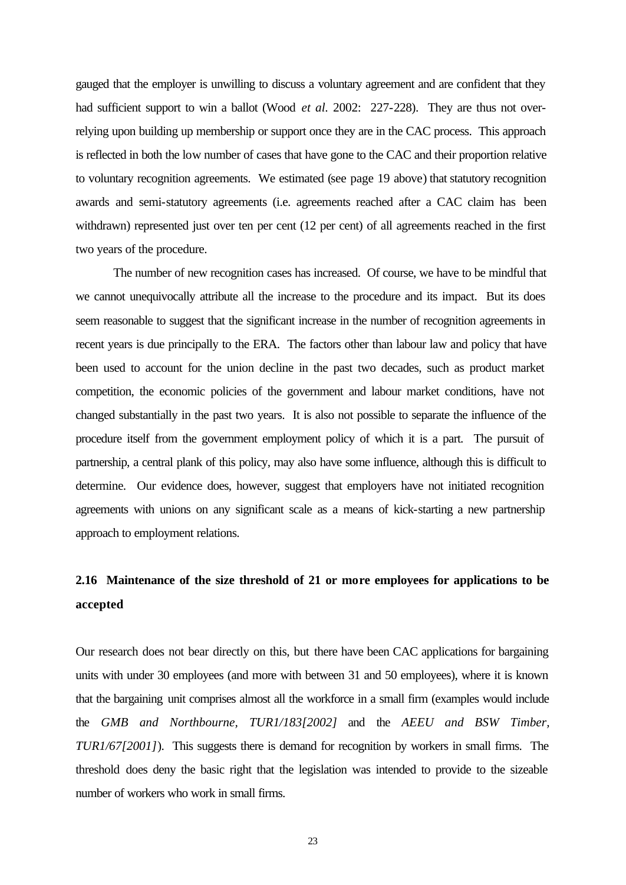gauged that the employer is unwilling to discuss a voluntary agreement and are confident that they had sufficient support to win a ballot (Wood *et al.* 2002: 227-228). They are thus not overrelying upon building up membership or support once they are in the CAC process. This approach is reflected in both the low number of cases that have gone to the CAC and their proportion relative to voluntary recognition agreements. We estimated (see page 19 above) that statutory recognition awards and semi-statutory agreements (i.e. agreements reached after a CAC claim has been withdrawn) represented just over ten per cent (12 per cent) of all agreements reached in the first two years of the procedure.

The number of new recognition cases has increased. Of course, we have to be mindful that we cannot unequivocally attribute all the increase to the procedure and its impact. But its does seem reasonable to suggest that the significant increase in the number of recognition agreements in recent years is due principally to the ERA. The factors other than labour law and policy that have been used to account for the union decline in the past two decades, such as product market competition, the economic policies of the government and labour market conditions, have not changed substantially in the past two years. It is also not possible to separate the influence of the procedure itself from the government employment policy of which it is a part. The pursuit of partnership, a central plank of this policy, may also have some influence, although this is difficult to determine. Our evidence does, however, suggest that employers have not initiated recognition agreements with unions on any significant scale as a means of kick-starting a new partnership approach to employment relations.

### **2.16 Maintenance of the size threshold of 21 or more employees for applications to be accepted**

Our research does not bear directly on this, but there have been CAC applications for bargaining units with under 30 employees (and more with between 31 and 50 employees), where it is known that the bargaining unit comprises almost all the workforce in a small firm (examples would include the *GMB and Northbourne, TUR1/183[2002]* and the *AEEU and BSW Timber, TUR1/67[2001]*). This suggests there is demand for recognition by workers in small firms. The threshold does deny the basic right that the legislation was intended to provide to the sizeable number of workers who work in small firms.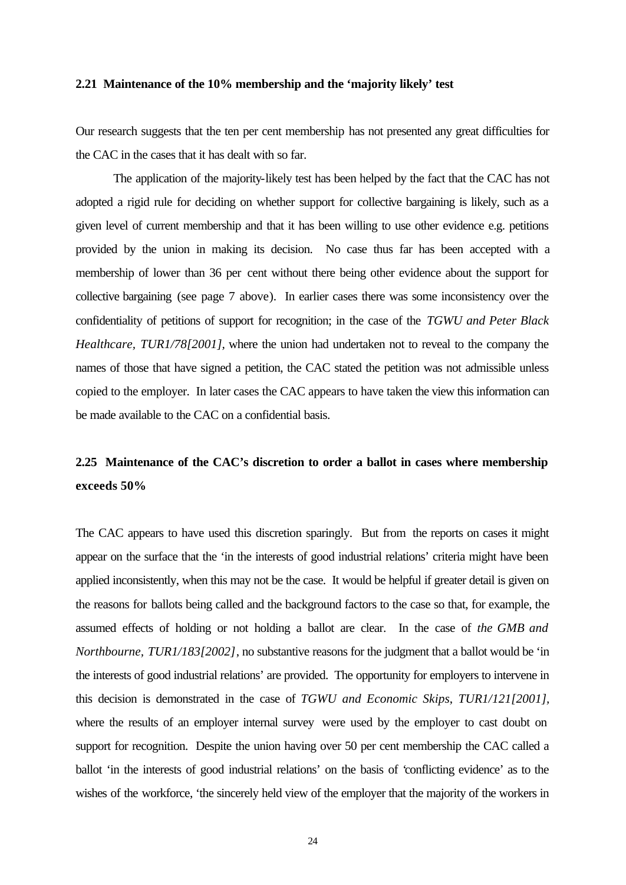#### **2.21 Maintenance of the 10% membership and the 'majority likely' test**

Our research suggests that the ten per cent membership has not presented any great difficulties for the CAC in the cases that it has dealt with so far.

The application of the majority-likely test has been helped by the fact that the CAC has not adopted a rigid rule for deciding on whether support for collective bargaining is likely, such as a given level of current membership and that it has been willing to use other evidence e.g. petitions provided by the union in making its decision. No case thus far has been accepted with a membership of lower than 36 per cent without there being other evidence about the support for collective bargaining (see page 7 above). In earlier cases there was some inconsistency over the confidentiality of petitions of support for recognition; in the case of the *TGWU and Peter Black Healthcare, TUR1/78[2001],* where the union had undertaken not to reveal to the company the names of those that have signed a petition, the CAC stated the petition was not admissible unless copied to the employer. In later cases the CAC appears to have taken the view this information can be made available to the CAC on a confidential basis.

### **2.25 Maintenance of the CAC's discretion to order a ballot in cases where membership exceeds 50%**

The CAC appears to have used this discretion sparingly. But from the reports on cases it might appear on the surface that the 'in the interests of good industrial relations' criteria might have been applied inconsistently, when this may not be the case. It would be helpful if greater detail is given on the reasons for ballots being called and the background factors to the case so that, for example, the assumed effects of holding or not holding a ballot are clear. In the case of *the GMB and Northbourne, TUR1/183[2002]*, no substantive reasons for the judgment that a ballot would be 'in the interests of good industrial relations' are provided. The opportunity for employers to intervene in this decision is demonstrated in the case of *TGWU and Economic Skips*, *TUR1/121[2001],*  where the results of an employer internal survey were used by the employer to cast doubt on support for recognition. Despite the union having over 50 per cent membership the CAC called a ballot 'in the interests of good industrial relations' on the basis of 'conflicting evidence' as to the wishes of the workforce, 'the sincerely held view of the employer that the majority of the workers in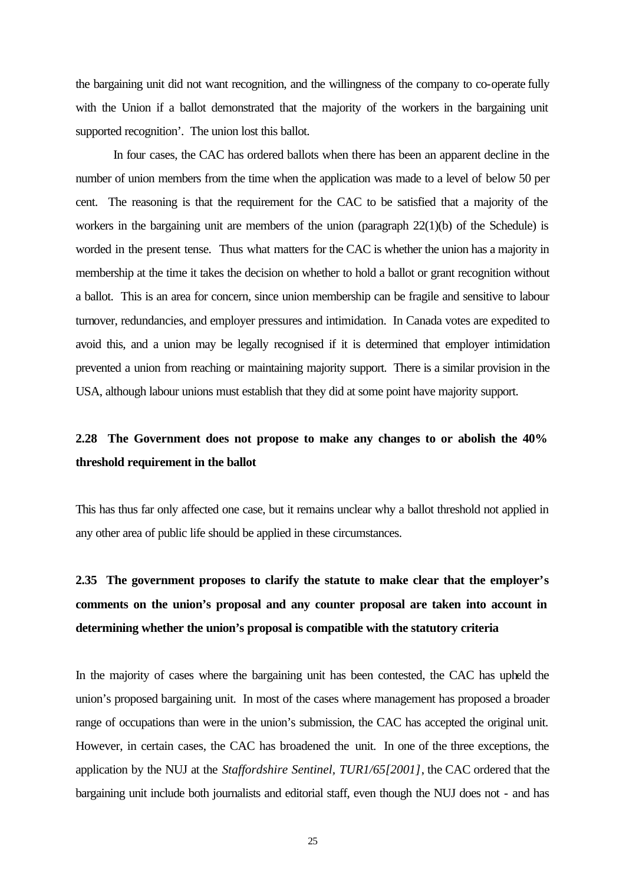the bargaining unit did not want recognition, and the willingness of the company to co-operate fully with the Union if a ballot demonstrated that the majority of the workers in the bargaining unit supported recognition'. The union lost this ballot.

In four cases, the CAC has ordered ballots when there has been an apparent decline in the number of union members from the time when the application was made to a level of below 50 per cent. The reasoning is that the requirement for the CAC to be satisfied that a majority of the workers in the bargaining unit are members of the union (paragraph 22(1)(b) of the Schedule) is worded in the present tense. Thus what matters for the CAC is whether the union has a majority in membership at the time it takes the decision on whether to hold a ballot or grant recognition without a ballot. This is an area for concern, since union membership can be fragile and sensitive to labour turnover, redundancies, and employer pressures and intimidation. In Canada votes are expedited to avoid this, and a union may be legally recognised if it is determined that employer intimidation prevented a union from reaching or maintaining majority support. There is a similar provision in the USA, although labour unions must establish that they did at some point have majority support.

### **2.28 The Government does not propose to make any changes to or abolish the 40% threshold requirement in the ballot**

This has thus far only affected one case, but it remains unclear why a ballot threshold not applied in any other area of public life should be applied in these circumstances.

# **2.35 The government proposes to clarify the statute to make clear that the employer's comments on the union's proposal and any counter proposal are taken into account in determining whether the union's proposal is compatible with the statutory criteria**

In the majority of cases where the bargaining unit has been contested, the CAC has upheld the union's proposed bargaining unit. In most of the cases where management has proposed a broader range of occupations than were in the union's submission, the CAC has accepted the original unit. However, in certain cases, the CAC has broadened the unit. In one of the three exceptions, the application by the NUJ at the *Staffordshire Sentinel, TUR1/65[2001]*, the CAC ordered that the bargaining unit include both journalists and editorial staff, even though the NUJ does not - and has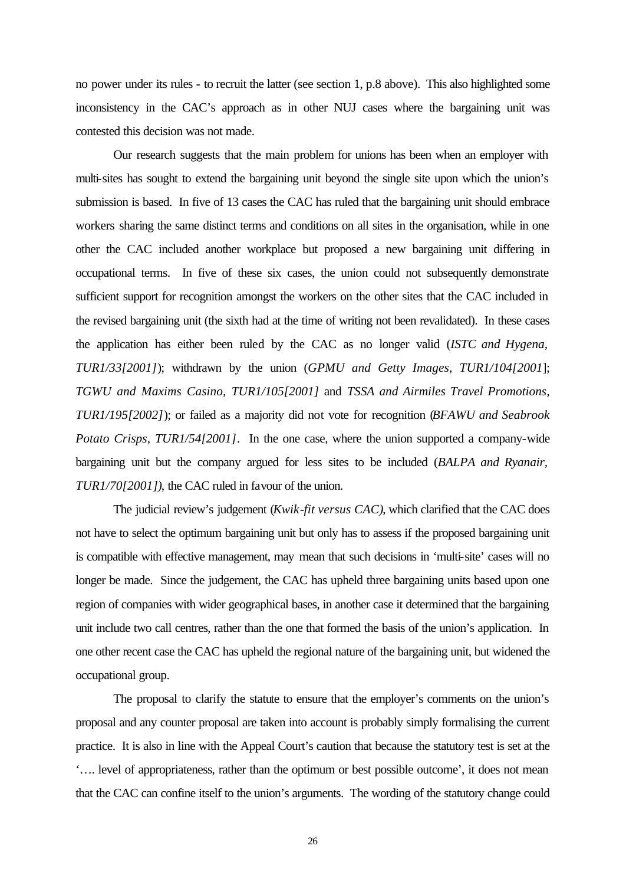no power under its rules - to recruit the latter (see section 1, p.8 above). This also highlighted some inconsistency in the CAC's approach as in other NUJ cases where the bargaining unit was contested this decision was not made.

Our research suggests that the main problem for unions has been when an employer with multi-sites has sought to extend the bargaining unit beyond the single site upon which the union's submission is based. In five of 13 cases the CAC has ruled that the bargaining unit should embrace workers sharing the same distinct terms and conditions on all sites in the organisation, while in one other the CAC included another workplace but proposed a new bargaining unit differing in occupational terms. In five of these six cases, the union could not subsequently demonstrate sufficient support for recognition amongst the workers on the other sites that the CAC included in the revised bargaining unit (the sixth had at the time of writing not been revalidated). In these cases the application has either been ruled by the CAC as no longer valid (*ISTC and Hygena, TUR1/33[2001]*); withdrawn by the union (*GPMU and Getty Images, TUR1/104[2001*]; *TGWU and Maxims Casino, TUR1/105[2001]* and *TSSA and Airmiles Travel Promotions, TUR1/195[2002]*); or failed as a majority did not vote for recognition (*BFAWU and Seabrook Potato Crisps, TUR1/54[2001]*. In the one case, where the union supported a company-wide bargaining unit but the company argued for less sites to be included (*BALPA and Ryanair, TUR1/70[2001])*, the CAC ruled in favour of the union.

The judicial review's judgement (*Kwik-fit versus CAC)*, which clarified that the CAC does not have to select the optimum bargaining unit but only has to assess if the proposed bargaining unit is compatible with effective management, may mean that such decisions in 'multi-site' cases will no longer be made. Since the judgement, the CAC has upheld three bargaining units based upon one region of companies with wider geographical bases, in another case it determined that the bargaining unit include two call centres, rather than the one that formed the basis of the union's application. In one other recent case the CAC has upheld the regional nature of the bargaining unit, but widened the occupational group.

The proposal to clarify the statute to ensure that the employer's comments on the union's proposal and any counter proposal are taken into account is probably simply formalising the current practice. It is also in line with the Appeal Court's caution that because the statutory test is set at the '…. level of appropriateness, rather than the optimum or best possible outcome', it does not mean that the CAC can confine itself to the union's arguments. The wording of the statutory change could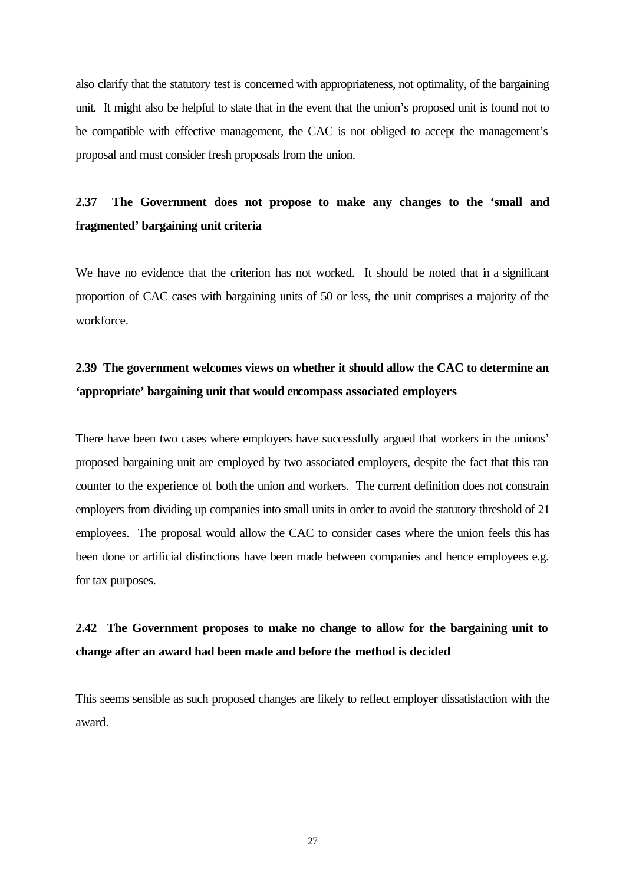also clarify that the statutory test is concerned with appropriateness, not optimality, of the bargaining unit. It might also be helpful to state that in the event that the union's proposed unit is found not to be compatible with effective management, the CAC is not obliged to accept the management's proposal and must consider fresh proposals from the union.

### **2.37 The Government does not propose to make any changes to the 'small and fragmented' bargaining unit criteria**

We have no evidence that the criterion has not worked. It should be noted that in a significant proportion of CAC cases with bargaining units of 50 or less, the unit comprises a majority of the workforce.

### **2.39 The government welcomes views on whether it should allow the CAC to determine an 'appropriate' bargaining unit that would encompass associated employers**

There have been two cases where employers have successfully argued that workers in the unions' proposed bargaining unit are employed by two associated employers, despite the fact that this ran counter to the experience of both the union and workers. The current definition does not constrain employers from dividing up companies into small units in order to avoid the statutory threshold of 21 employees. The proposal would allow the CAC to consider cases where the union feels this has been done or artificial distinctions have been made between companies and hence employees e.g. for tax purposes.

### **2.42 The Government proposes to make no change to allow for the bargaining unit to change after an award had been made and before the method is decided**

This seems sensible as such proposed changes are likely to reflect employer dissatisfaction with the award.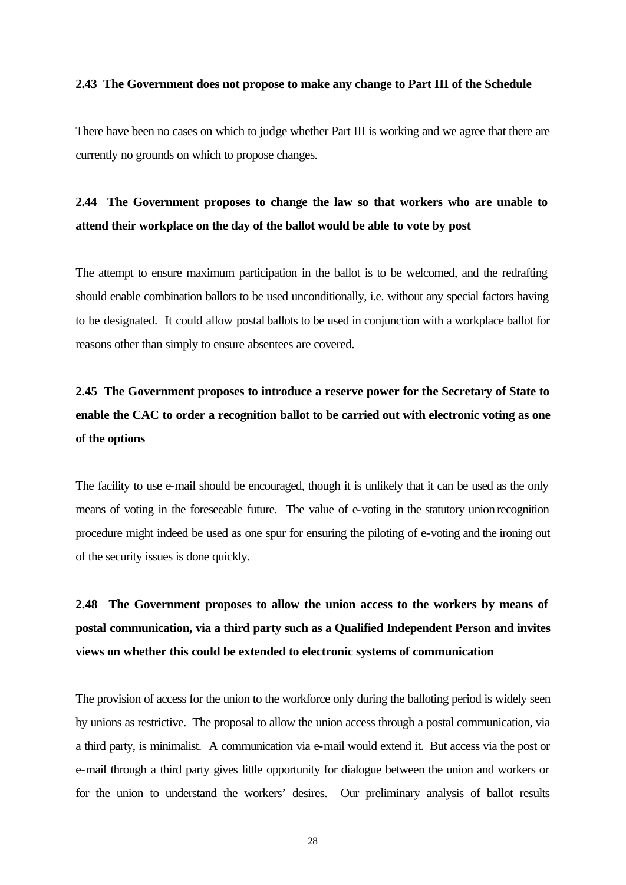#### **2.43 The Government does not propose to make any change to Part III of the Schedule**

There have been no cases on which to judge whether Part III is working and we agree that there are currently no grounds on which to propose changes.

### **2.44 The Government proposes to change the law so that workers who are unable to attend their workplace on the day of the ballot would be able to vote by post**

The attempt to ensure maximum participation in the ballot is to be welcomed, and the redrafting should enable combination ballots to be used unconditionally, i.e. without any special factors having to be designated. It could allow postal ballots to be used in conjunction with a workplace ballot for reasons other than simply to ensure absentees are covered.

# **2.45 The Government proposes to introduce a reserve power for the Secretary of State to enable the CAC to order a recognition ballot to be carried out with electronic voting as one of the options**

The facility to use e-mail should be encouraged, though it is unlikely that it can be used as the only means of voting in the foreseeable future. The value of e-voting in the statutory union recognition procedure might indeed be used as one spur for ensuring the piloting of e-voting and the ironing out of the security issues is done quickly.

# **2.48 The Government proposes to allow the union access to the workers by means of postal communication, via a third party such as a Qualified Independent Person and invites views on whether this could be extended to electronic systems of communication**

The provision of access for the union to the workforce only during the balloting period is widely seen by unions as restrictive. The proposal to allow the union access through a postal communication, via a third party, is minimalist. A communication via e-mail would extend it. But access via the post or e-mail through a third party gives little opportunity for dialogue between the union and workers or for the union to understand the workers' desires. Our preliminary analysis of ballot results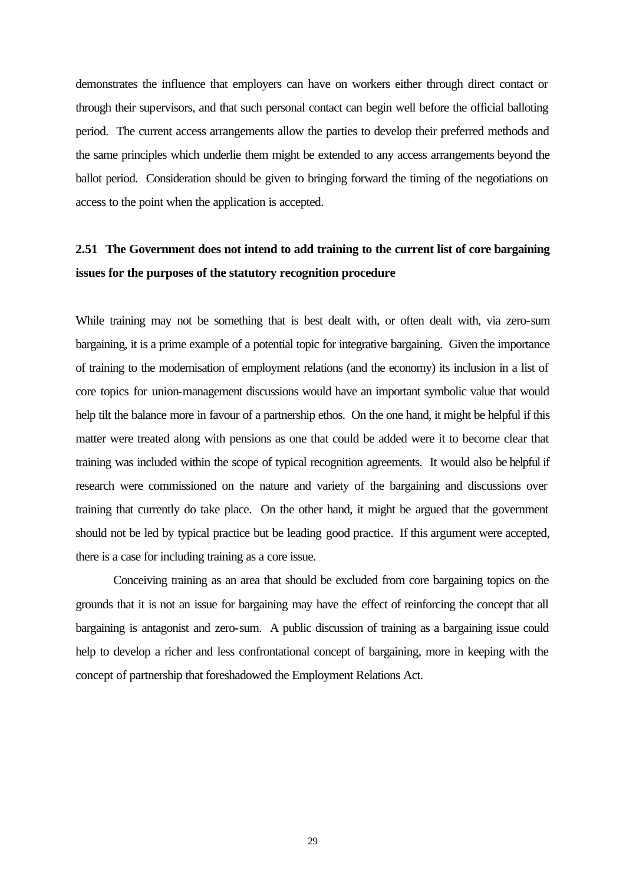demonstrates the influence that employers can have on workers either through direct contact or through their supervisors, and that such personal contact can begin well before the official balloting period. The current access arrangements allow the parties to develop their preferred methods and the same principles which underlie them might be extended to any access arrangements beyond the ballot period. Consideration should be given to bringing forward the timing of the negotiations on access to the point when the application is accepted.

### **2.51 The Government does not intend to add training to the current list of core bargaining issues for the purposes of the statutory recognition procedure**

While training may not be something that is best dealt with, or often dealt with, via zero-sum bargaining, it is a prime example of a potential topic for integrative bargaining. Given the importance of training to the modernisation of employment relations (and the economy) its inclusion in a list of core topics for union-management discussions would have an important symbolic value that would help tilt the balance more in favour of a partnership ethos. On the one hand, it might be helpful if this matter were treated along with pensions as one that could be added were it to become clear that training was included within the scope of typical recognition agreements. It would also be helpful if research were commissioned on the nature and variety of the bargaining and discussions over training that currently do take place. On the other hand, it might be argued that the government should not be led by typical practice but be leading good practice. If this argument were accepted, there is a case for including training as a core issue.

Conceiving training as an area that should be excluded from core bargaining topics on the grounds that it is not an issue for bargaining may have the effect of reinforcing the concept that all bargaining is antagonist and zero-sum. A public discussion of training as a bargaining issue could help to develop a richer and less confrontational concept of bargaining, more in keeping with the concept of partnership that foreshadowed the Employment Relations Act.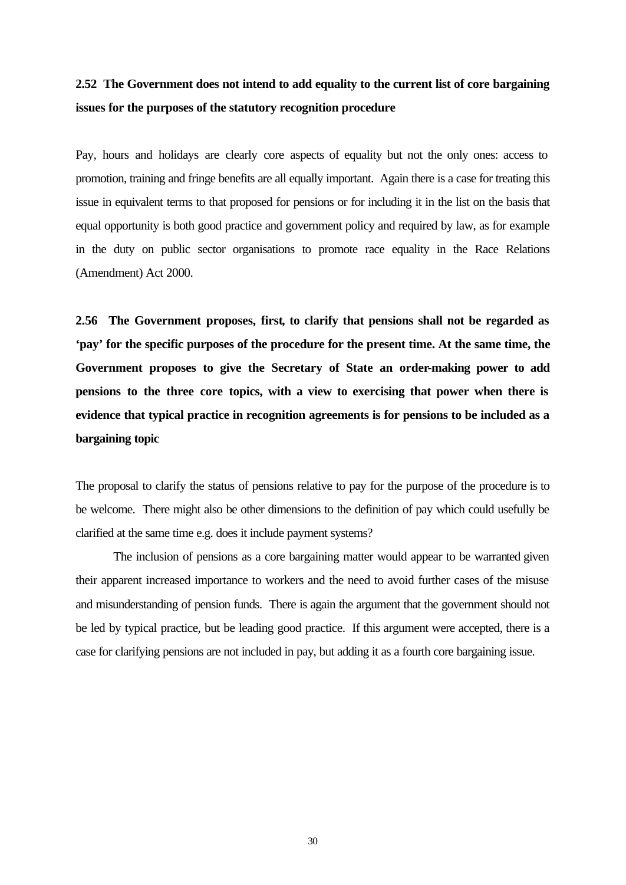### **2.52 The Government does not intend to add equality to the current list of core bargaining issues for the purposes of the statutory recognition procedure**

Pay, hours and holidays are clearly core aspects of equality but not the only ones: access to promotion, training and fringe benefits are all equally important. Again there is a case for treating this issue in equivalent terms to that proposed for pensions or for including it in the list on the basis that equal opportunity is both good practice and government policy and required by law, as for example in the duty on public sector organisations to promote race equality in the Race Relations (Amendment) Act 2000.

**2.56 The Government proposes, first, to clarify that pensions shall not be regarded as 'pay' for the specific purposes of the procedure for the present time. At the same time, the Government proposes to give the Secretary of State an order-making power to add pensions to the three core topics, with a view to exercising that power when there is evidence that typical practice in recognition agreements is for pensions to be included as a bargaining topic**

The proposal to clarify the status of pensions relative to pay for the purpose of the procedure is to be welcome. There might also be other dimensions to the definition of pay which could usefully be clarified at the same time e.g. does it include payment systems?

The inclusion of pensions as a core bargaining matter would appear to be warranted given their apparent increased importance to workers and the need to avoid further cases of the misuse and misunderstanding of pension funds. There is again the argument that the government should not be led by typical practice, but be leading good practice. If this argument were accepted, there is a case for clarifying pensions are not included in pay, but adding it as a fourth core bargaining issue.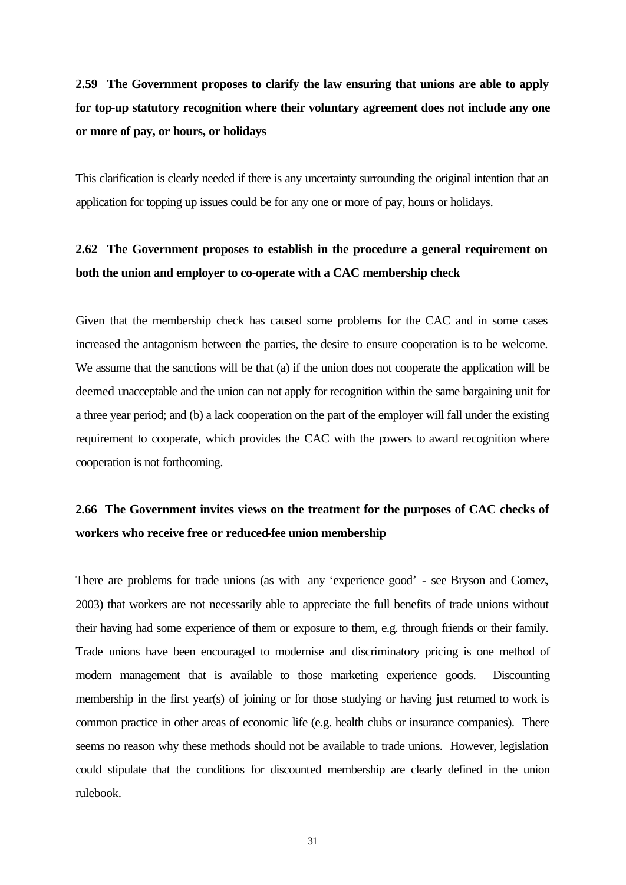# **2.59 The Government proposes to clarify the law ensuring that unions are able to apply for top-up statutory recognition where their voluntary agreement does not include any one or more of pay, or hours, or holidays**

This clarification is clearly needed if there is any uncertainty surrounding the original intention that an application for topping up issues could be for any one or more of pay, hours or holidays.

### **2.62 The Government proposes to establish in the procedure a general requirement on both the union and employer to co-operate with a CAC membership check**

Given that the membership check has caused some problems for the CAC and in some cases increased the antagonism between the parties, the desire to ensure cooperation is to be welcome. We assume that the sanctions will be that (a) if the union does not cooperate the application will be deemed unacceptable and the union can not apply for recognition within the same bargaining unit for a three year period; and (b) a lack cooperation on the part of the employer will fall under the existing requirement to cooperate, which provides the CAC with the powers to award recognition where cooperation is not forthcoming.

### **2.66 The Government invites views on the treatment for the purposes of CAC checks of workers who receive free or reduced-fee union membership**

There are problems for trade unions (as with any 'experience good' - see Bryson and Gomez, 2003) that workers are not necessarily able to appreciate the full benefits of trade unions without their having had some experience of them or exposure to them, e.g. through friends or their family. Trade unions have been encouraged to modernise and discriminatory pricing is one method of modern management that is available to those marketing experience goods. Discounting membership in the first year(s) of joining or for those studying or having just returned to work is common practice in other areas of economic life (e.g. health clubs or insurance companies). There seems no reason why these methods should not be available to trade unions. However, legislation could stipulate that the conditions for discounted membership are clearly defined in the union rulebook.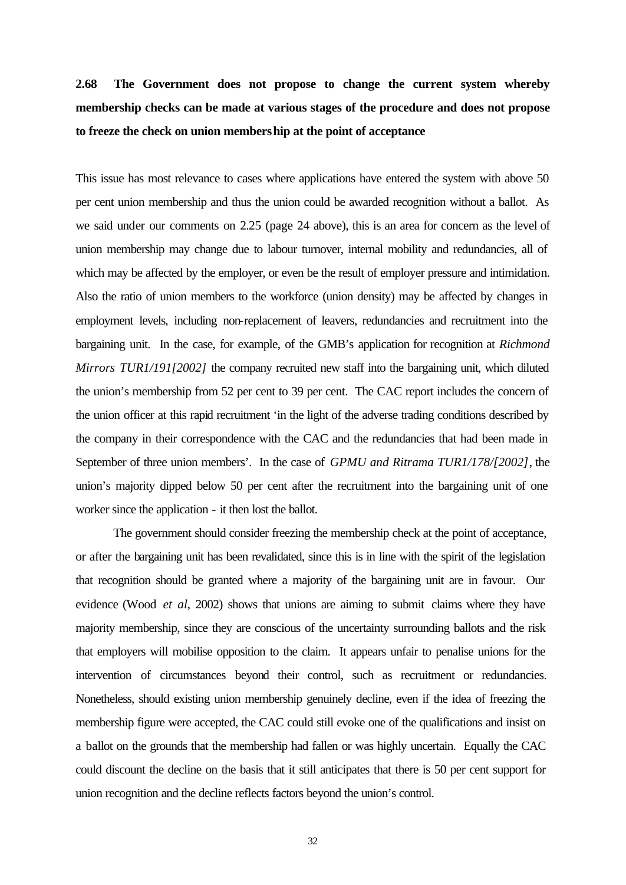# **2.68 The Government does not propose to change the current system whereby membership checks can be made at various stages of the procedure and does not propose to freeze the check on union membership at the point of acceptance**

This issue has most relevance to cases where applications have entered the system with above 50 per cent union membership and thus the union could be awarded recognition without a ballot. As we said under our comments on 2.25 (page 24 above), this is an area for concern as the level of union membership may change due to labour turnover, internal mobility and redundancies, all of which may be affected by the employer, or even be the result of employer pressure and intimidation. Also the ratio of union members to the workforce (union density) may be affected by changes in employment levels, including non-replacement of leavers, redundancies and recruitment into the bargaining unit. In the case, for example, of the GMB's application for recognition at *Richmond Mirrors TUR1/191[2002]* the company recruited new staff into the bargaining unit, which diluted the union's membership from 52 per cent to 39 per cent. The CAC report includes the concern of the union officer at this rapid recruitment 'in the light of the adverse trading conditions described by the company in their correspondence with the CAC and the redundancies that had been made in September of three union members'. In the case of *GPMU and Ritrama TUR1/178/[2002]*, the union's majority dipped below 50 per cent after the recruitment into the bargaining unit of one worker since the application - it then lost the ballot.

The government should consider freezing the membership check at the point of acceptance, or after the bargaining unit has been revalidated, since this is in line with the spirit of the legislation that recognition should be granted where a majority of the bargaining unit are in favour. Our evidence (Wood *et al*, 2002) shows that unions are aiming to submit claims where they have majority membership, since they are conscious of the uncertainty surrounding ballots and the risk that employers will mobilise opposition to the claim. It appears unfair to penalise unions for the intervention of circumstances beyond their control, such as recruitment or redundancies. Nonetheless, should existing union membership genuinely decline, even if the idea of freezing the membership figure were accepted, the CAC could still evoke one of the qualifications and insist on a ballot on the grounds that the membership had fallen or was highly uncertain. Equally the CAC could discount the decline on the basis that it still anticipates that there is 50 per cent support for union recognition and the decline reflects factors beyond the union's control.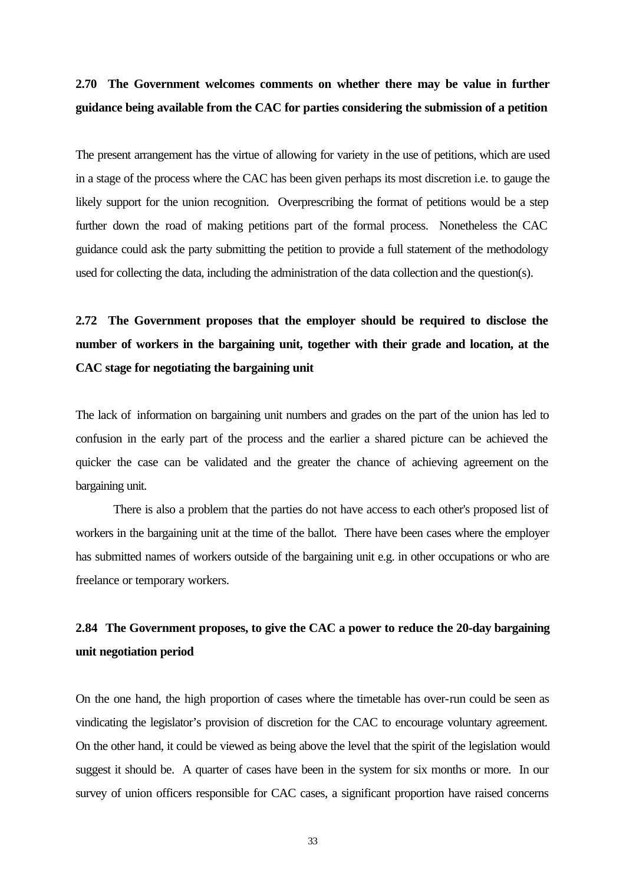### **2.70 The Government welcomes comments on whether there may be value in further guidance being available from the CAC for parties considering the submission of a petition**

The present arrangement has the virtue of allowing for variety in the use of petitions, which are used in a stage of the process where the CAC has been given perhaps its most discretion i.e. to gauge the likely support for the union recognition. Overprescribing the format of petitions would be a step further down the road of making petitions part of the formal process. Nonetheless the CAC guidance could ask the party submitting the petition to provide a full statement of the methodology used for collecting the data, including the administration of the data collection and the question(s).

**2.72 The Government proposes that the employer should be required to disclose the number of workers in the bargaining unit, together with their grade and location, at the CAC stage for negotiating the bargaining unit**

The lack of information on bargaining unit numbers and grades on the part of the union has led to confusion in the early part of the process and the earlier a shared picture can be achieved the quicker the case can be validated and the greater the chance of achieving agreement on the bargaining unit.

There is also a problem that the parties do not have access to each other's proposed list of workers in the bargaining unit at the time of the ballot. There have been cases where the employer has submitted names of workers outside of the bargaining unit e.g. in other occupations or who are freelance or temporary workers.

### **2.84 The Government proposes, to give the CAC a power to reduce the 20-day bargaining unit negotiation period**

On the one hand, the high proportion of cases where the timetable has over-run could be seen as vindicating the legislator's provision of discretion for the CAC to encourage voluntary agreement. On the other hand, it could be viewed as being above the level that the spirit of the legislation would suggest it should be. A quarter of cases have been in the system for six months or more. In our survey of union officers responsible for CAC cases, a significant proportion have raised concerns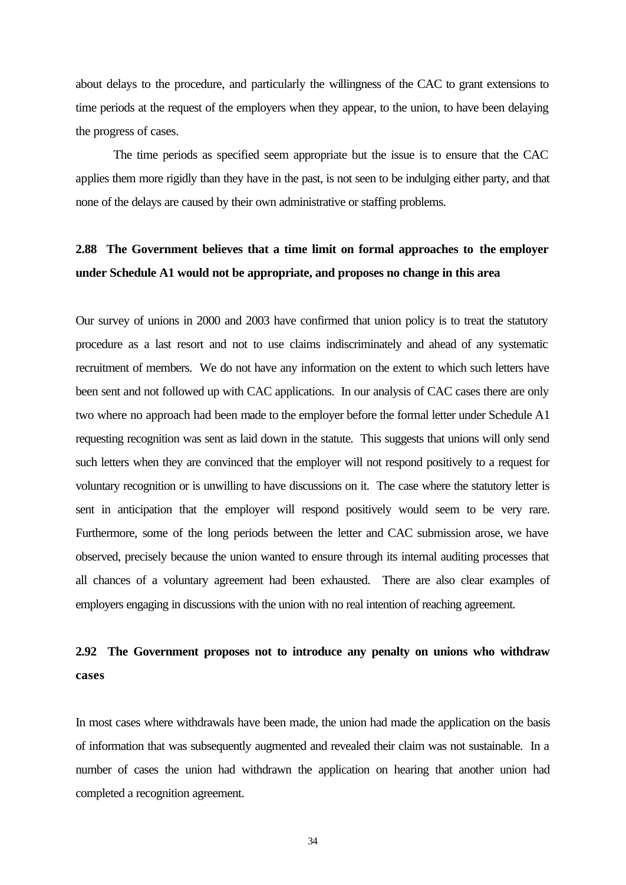about delays to the procedure, and particularly the willingness of the CAC to grant extensions to time periods at the request of the employers when they appear, to the union, to have been delaying the progress of cases.

The time periods as specified seem appropriate but the issue is to ensure that the CAC applies them more rigidly than they have in the past, is not seen to be indulging either party, and that none of the delays are caused by their own administrative or staffing problems.

### **2.88 The Government believes that a time limit on formal approaches to the employer under Schedule A1 would not be appropriate, and proposes no change in this area**

Our survey of unions in 2000 and 2003 have confirmed that union policy is to treat the statutory procedure as a last resort and not to use claims indiscriminately and ahead of any systematic recruitment of members. We do not have any information on the extent to which such letters have been sent and not followed up with CAC applications. In our analysis of CAC cases there are only two where no approach had been made to the employer before the formal letter under Schedule A1 requesting recognition was sent as laid down in the statute. This suggests that unions will only send such letters when they are convinced that the employer will not respond positively to a request for voluntary recognition or is unwilling to have discussions on it. The case where the statutory letter is sent in anticipation that the employer will respond positively would seem to be very rare. Furthermore, some of the long periods between the letter and CAC submission arose, we have observed, precisely because the union wanted to ensure through its internal auditing processes that all chances of a voluntary agreement had been exhausted. There are also clear examples of employers engaging in discussions with the union with no real intention of reaching agreement.

### **2.92 The Government proposes not to introduce any penalty on unions who withdraw cases**

In most cases where withdrawals have been made, the union had made the application on the basis of information that was subsequently augmented and revealed their claim was not sustainable. In a number of cases the union had withdrawn the application on hearing that another union had completed a recognition agreement.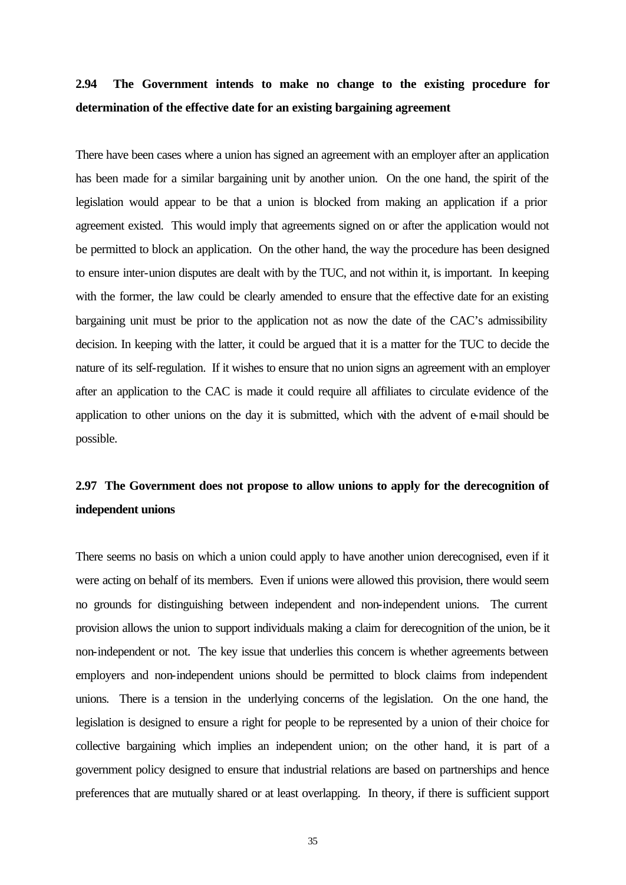### **2.94 The Government intends to make no change to the existing procedure for determination of the effective date for an existing bargaining agreement**

There have been cases where a union has signed an agreement with an employer after an application has been made for a similar bargaining unit by another union. On the one hand, the spirit of the legislation would appear to be that a union is blocked from making an application if a prior agreement existed. This would imply that agreements signed on or after the application would not be permitted to block an application. On the other hand, the way the procedure has been designed to ensure inter-union disputes are dealt with by the TUC, and not within it, is important. In keeping with the former, the law could be clearly amended to ensure that the effective date for an existing bargaining unit must be prior to the application not as now the date of the CAC's admissibility decision. In keeping with the latter, it could be argued that it is a matter for the TUC to decide the nature of its self-regulation. If it wishes to ensure that no union signs an agreement with an employer after an application to the CAC is made it could require all affiliates to circulate evidence of the application to other unions on the day it is submitted, which with the advent of e-mail should be possible.

### **2.97 The Government does not propose to allow unions to apply for the derecognition of independent unions**

There seems no basis on which a union could apply to have another union derecognised, even if it were acting on behalf of its members. Even if unions were allowed this provision, there would seem no grounds for distinguishing between independent and non-independent unions. The current provision allows the union to support individuals making a claim for derecognition of the union, be it non-independent or not. The key issue that underlies this concern is whether agreements between employers and non-independent unions should be permitted to block claims from independent unions. There is a tension in the underlying concerns of the legislation. On the one hand, the legislation is designed to ensure a right for people to be represented by a union of their choice for collective bargaining which implies an independent union; on the other hand, it is part of a government policy designed to ensure that industrial relations are based on partnerships and hence preferences that are mutually shared or at least overlapping. In theory, if there is sufficient support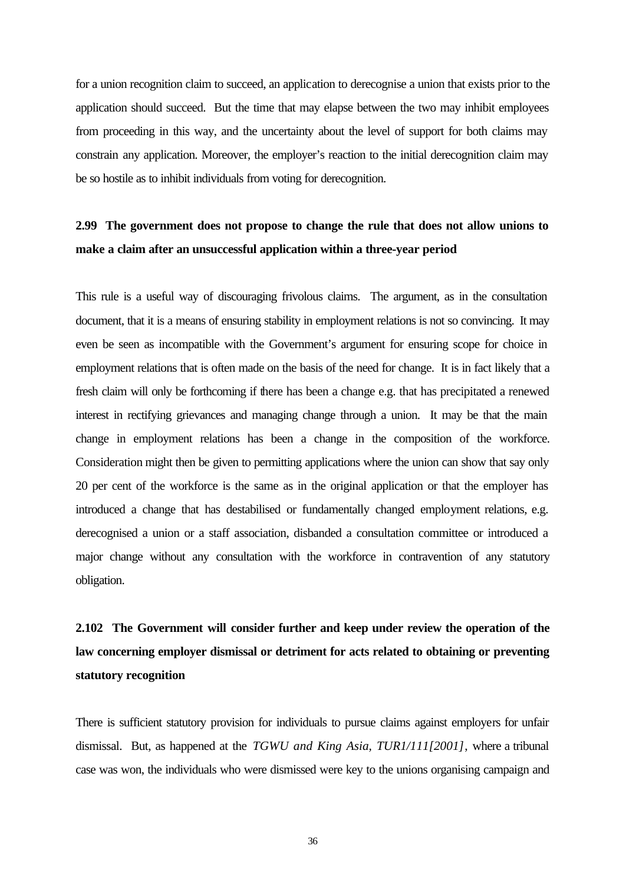for a union recognition claim to succeed, an application to derecognise a union that exists prior to the application should succeed. But the time that may elapse between the two may inhibit employees from proceeding in this way, and the uncertainty about the level of support for both claims may constrain any application. Moreover, the employer's reaction to the initial derecognition claim may be so hostile as to inhibit individuals from voting for derecognition.

### **2.99 The government does not propose to change the rule that does not allow unions to make a claim after an unsuccessful application within a three-year period**

This rule is a useful way of discouraging frivolous claims. The argument, as in the consultation document, that it is a means of ensuring stability in employment relations is not so convincing. It may even be seen as incompatible with the Government's argument for ensuring scope for choice in employment relations that is often made on the basis of the need for change. It is in fact likely that a fresh claim will only be forthcoming if there has been a change e.g. that has precipitated a renewed interest in rectifying grievances and managing change through a union. It may be that the main change in employment relations has been a change in the composition of the workforce. Consideration might then be given to permitting applications where the union can show that say only 20 per cent of the workforce is the same as in the original application or that the employer has introduced a change that has destabilised or fundamentally changed employment relations, e.g. derecognised a union or a staff association, disbanded a consultation committee or introduced a major change without any consultation with the workforce in contravention of any statutory obligation.

# **2.102 The Government will consider further and keep under review the operation of the law concerning employer dismissal or detriment for acts related to obtaining or preventing statutory recognition**

There is sufficient statutory provision for individuals to pursue claims against employers for unfair dismissal. But, as happened at the *TGWU and King Asia, TUR1/111[2001]*, where a tribunal case was won, the individuals who were dismissed were key to the unions organising campaign and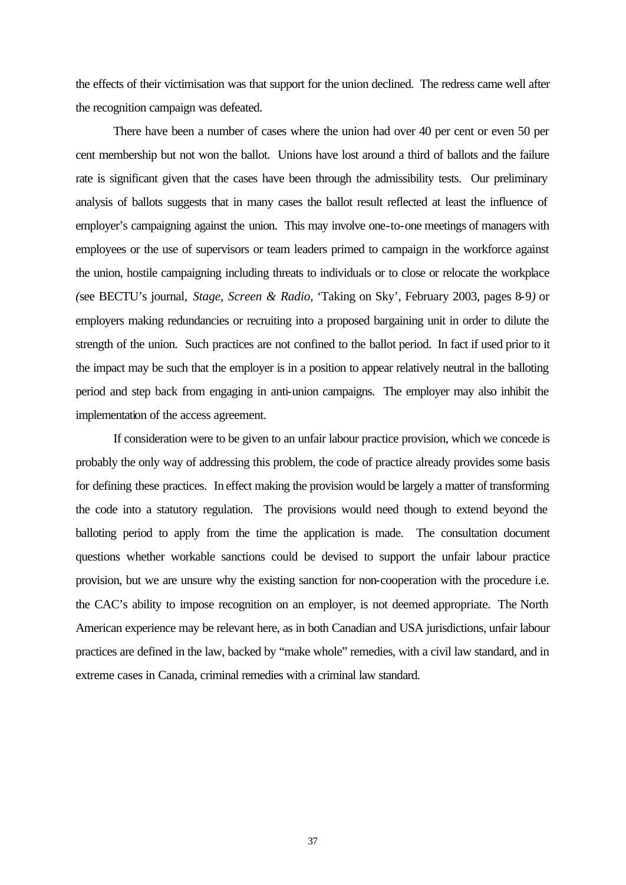the effects of their victimisation was that support for the union declined. The redress came well after the recognition campaign was defeated.

There have been a number of cases where the union had over 40 per cent or even 50 per cent membership but not won the ballot. Unions have lost around a third of ballots and the failure rate is significant given that the cases have been through the admissibility tests. Our preliminary analysis of ballots suggests that in many cases the ballot result reflected at least the influence of employer's campaigning against the union. This may involve one-to-one meetings of managers with employees or the use of supervisors or team leaders primed to campaign in the workforce against the union, hostile campaigning including threats to individuals or to close or relocate the workplace *(*see BECTU's journal, *Stage, Screen & Radio*, 'Taking on Sky', February 2003, pages 8-9*)* or employers making redundancies or recruiting into a proposed bargaining unit in order to dilute the strength of the union. Such practices are not confined to the ballot period. In fact if used prior to it the impact may be such that the employer is in a position to appear relatively neutral in the balloting period and step back from engaging in anti-union campaigns. The employer may also inhibit the implementation of the access agreement.

If consideration were to be given to an unfair labour practice provision, which we concede is probably the only way of addressing this problem, the code of practice already provides some basis for defining these practices. In effect making the provision would be largely a matter of transforming the code into a statutory regulation. The provisions would need though to extend beyond the balloting period to apply from the time the application is made. The consultation document questions whether workable sanctions could be devised to support the unfair labour practice provision, but we are unsure why the existing sanction for non-cooperation with the procedure i.e. the CAC's ability to impose recognition on an employer, is not deemed appropriate. The North American experience may be relevant here, as in both Canadian and USA jurisdictions, unfair labour practices are defined in the law, backed by "make whole" remedies, with a civil law standard, and in extreme cases in Canada, criminal remedies with a criminal law standard.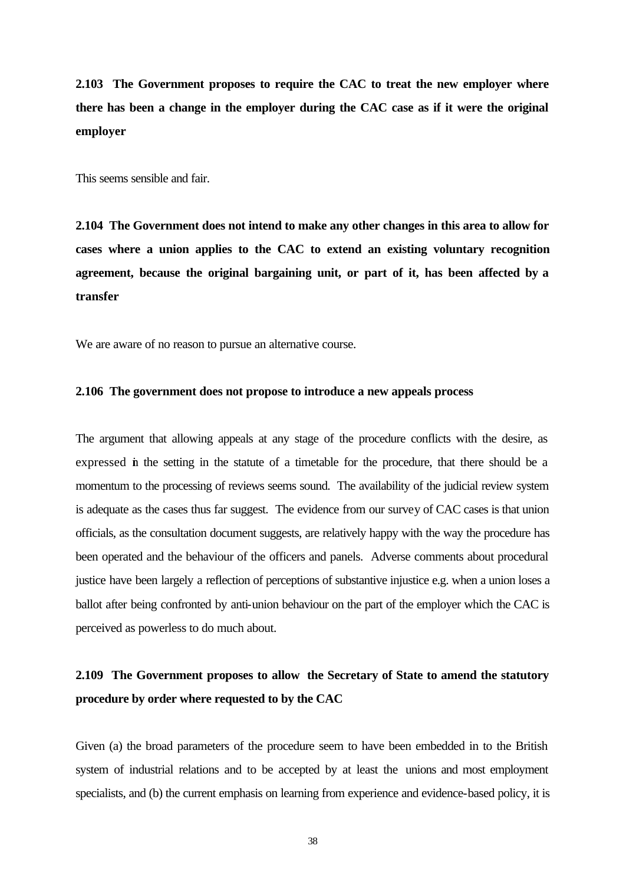**2.103 The Government proposes to require the CAC to treat the new employer where there has been a change in the employer during the CAC case as if it were the original employer**

This seems sensible and fair.

**2.104 The Government does not intend to make any other changes in this area to allow for cases where a union applies to the CAC to extend an existing voluntary recognition agreement, because the original bargaining unit, or part of it, has been affected by a transfer**

We are aware of no reason to pursue an alternative course.

#### **2.106 The government does not propose to introduce a new appeals process**

The argument that allowing appeals at any stage of the procedure conflicts with the desire, as expressed in the setting in the statute of a timetable for the procedure, that there should be a momentum to the processing of reviews seems sound. The availability of the judicial review system is adequate as the cases thus far suggest. The evidence from our survey of CAC cases is that union officials, as the consultation document suggests, are relatively happy with the way the procedure has been operated and the behaviour of the officers and panels. Adverse comments about procedural justice have been largely a reflection of perceptions of substantive injustice e.g. when a union loses a ballot after being confronted by anti-union behaviour on the part of the employer which the CAC is perceived as powerless to do much about.

### **2.109 The Government proposes to allow the Secretary of State to amend the statutory procedure by order where requested to by the CAC**

Given (a) the broad parameters of the procedure seem to have been embedded in to the British system of industrial relations and to be accepted by at least the unions and most employment specialists, and (b) the current emphasis on learning from experience and evidence-based policy, it is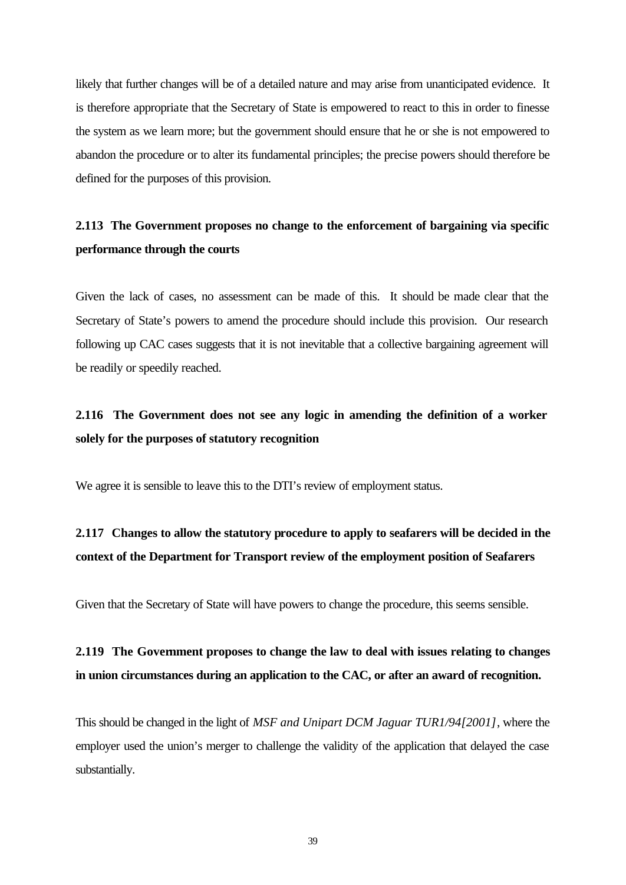likely that further changes will be of a detailed nature and may arise from unanticipated evidence. It is therefore appropriate that the Secretary of State is empowered to react to this in order to finesse the system as we learn more; but the government should ensure that he or she is not empowered to abandon the procedure or to alter its fundamental principles; the precise powers should therefore be defined for the purposes of this provision.

### **2.113 The Government proposes no change to the enforcement of bargaining via specific performance through the courts**

Given the lack of cases, no assessment can be made of this. It should be made clear that the Secretary of State's powers to amend the procedure should include this provision. Our research following up CAC cases suggests that it is not inevitable that a collective bargaining agreement will be readily or speedily reached.

### **2.116 The Government does not see any logic in amending the definition of a worker solely for the purposes of statutory recognition**

We agree it is sensible to leave this to the DTI's review of employment status.

### **2.117 Changes to allow the statutory procedure to apply to seafarers will be decided in the context of the Department for Transport review of the employment position of Seafarers**

Given that the Secretary of State will have powers to change the procedure, this seems sensible.

### **2.119 The Government proposes to change the law to deal with issues relating to changes in union circumstances during an application to the CAC, or after an award of recognition.**

This should be changed in the light of *MSF and Unipart DCM Jaguar TUR1/94[2001]*, where the employer used the union's merger to challenge the validity of the application that delayed the case substantially.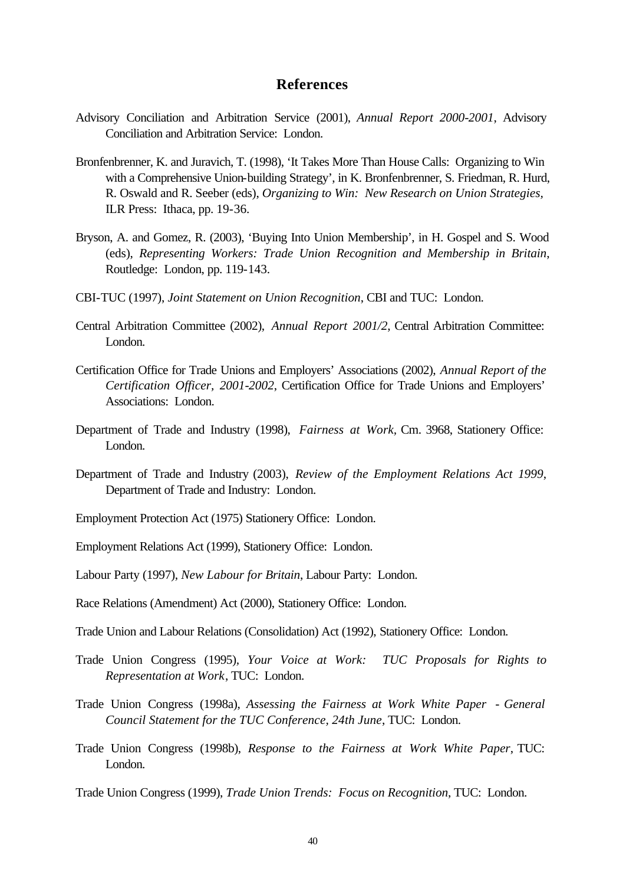#### **References**

- Advisory Conciliation and Arbitration Service (2001), *Annual Report 2000-2001*, Advisory Conciliation and Arbitration Service: London.
- Bronfenbrenner, K. and Juravich, T. (1998), 'It Takes More Than House Calls: Organizing to Win with a Comprehensive Union-building Strategy', in K. Bronfenbrenner, S. Friedman, R. Hurd, R. Oswald and R. Seeber (eds), *Organizing to Win: New Research on Union Strategies,* ILR Press: Ithaca, pp. 19-36.
- Bryson, A. and Gomez, R. (2003), 'Buying Into Union Membership', in H. Gospel and S. Wood (eds), *Representing Workers: Trade Union Recognition and Membership in Britain*, Routledge: London, pp. 119-143.
- CBI-TUC (1997), *Joint Statement on Union Recognition*, CBI and TUC: London.
- Central Arbitration Committee (2002), *Annual Report 2001/2*, Central Arbitration Committee: London.
- Certification Office for Trade Unions and Employers' Associations (2002), *Annual Report of the Certification Officer, 2001-2002*, Certification Office for Trade Unions and Employers' Associations: London.
- Department of Trade and Industry (1998), *Fairness at Work,* Cm. 3968, Stationery Office: London.
- Department of Trade and Industry (2003), *Review of the Employment Relations Act 1999*, Department of Trade and Industry: London.
- Employment Protection Act (1975) Stationery Office: London.
- Employment Relations Act (1999), Stationery Office: London.
- Labour Party (1997), *New Labour for Britain*, Labour Party: London.
- Race Relations (Amendment) Act (2000), Stationery Office: London.
- Trade Union and Labour Relations (Consolidation) Act (1992), Stationery Office: London.
- Trade Union Congress (1995)*, Your Voice at Work: TUC Proposals for Rights to Representation at Work*, TUC: London.
- Trade Union Congress (1998a), *Assessing the Fairness at Work White Paper General Council Statement for the TUC Conference, 24th June*, TUC: London.
- Trade Union Congress (1998b), *Response to the Fairness at Work White Paper*, TUC: London.

Trade Union Congress (1999), *Trade Union Trends: Focus on Recognition*, TUC: London.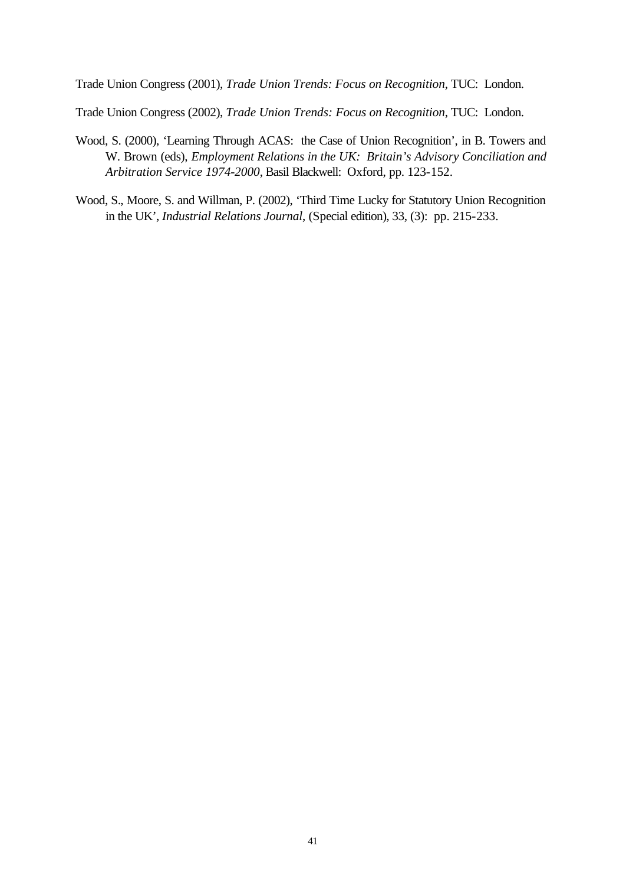Trade Union Congress (2001), *Trade Union Trends: Focus on Recognition*, TUC: London.

Trade Union Congress (2002), *Trade Union Trends: Focus on Recognition*, TUC: London.

- Wood, S. (2000), 'Learning Through ACAS: the Case of Union Recognition', in B. Towers and W. Brown (eds), *Employment Relations in the UK: Britain's Advisory Conciliation and Arbitration Service 1974-2000*, Basil Blackwell: Oxford, pp. 123-152.
- Wood, S., Moore, S. and Willman, P. (2002), 'Third Time Lucky for Statutory Union Recognition in the UK', *Industrial Relations Journal*, (Special edition), 33, (3): pp. 215-233.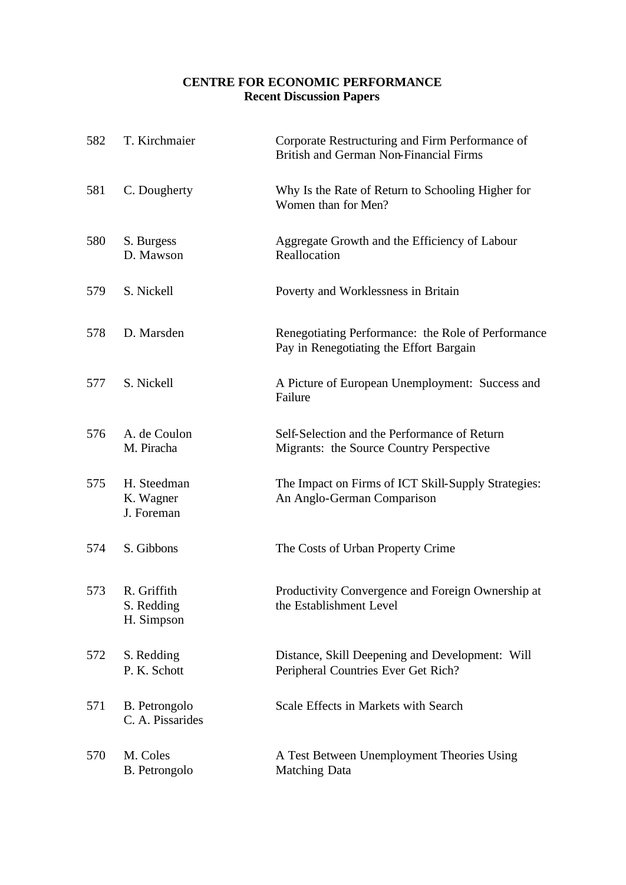### **CENTRE FOR ECONOMIC PERFORMANCE Recent Discussion Papers**

| 582 | T. Kirchmaier                           | Corporate Restructuring and Firm Performance of<br><b>British and German Non-Financial Firms</b> |
|-----|-----------------------------------------|--------------------------------------------------------------------------------------------------|
| 581 | C. Dougherty                            | Why Is the Rate of Return to Schooling Higher for<br>Women than for Men?                         |
| 580 | S. Burgess<br>D. Mawson                 | Aggregate Growth and the Efficiency of Labour<br>Reallocation                                    |
| 579 | S. Nickell                              | Poverty and Worklessness in Britain                                                              |
| 578 | D. Marsden                              | Renegotiating Performance: the Role of Performance<br>Pay in Renegotiating the Effort Bargain    |
| 577 | S. Nickell                              | A Picture of European Unemployment: Success and<br>Failure                                       |
| 576 | A. de Coulon<br>M. Piracha              | Self-Selection and the Performance of Return<br>Migrants: the Source Country Perspective         |
| 575 | H. Steedman<br>K. Wagner<br>J. Foreman  | The Impact on Firms of ICT Skill-Supply Strategies:<br>An Anglo-German Comparison                |
| 574 | S. Gibbons                              | The Costs of Urban Property Crime                                                                |
| 573 | R. Griffith<br>S. Redding<br>H. Simpson | Productivity Convergence and Foreign Ownership at<br>the Establishment Level                     |
| 572 | S. Redding<br>P. K. Schott              | Distance, Skill Deepening and Development: Will<br>Peripheral Countries Ever Get Rich?           |
| 571 | B. Petrongolo<br>C. A. Pissarides       | Scale Effects in Markets with Search                                                             |
| 570 | M. Coles<br><b>B.</b> Petrongolo        | A Test Between Unemployment Theories Using<br><b>Matching Data</b>                               |